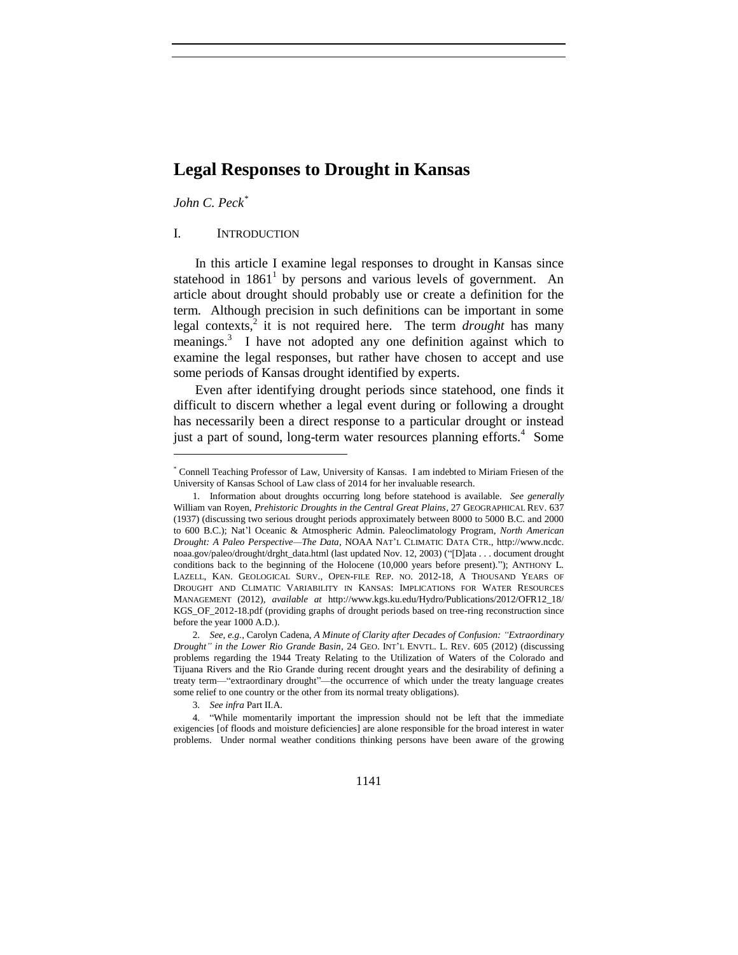# **Legal Responses to Drought in Kansas**

# *John C. Peck\**

 $\overline{a}$ 

# I. INTRODUCTION

In this article I examine legal responses to drought in Kansas since statehood in  $1861<sup>1</sup>$  by persons and various levels of government. An article about drought should probably use or create a definition for the term. Although precision in such definitions can be important in some legal contexts,<sup>2</sup> it is not required here. The term *drought* has many meanings.<sup>3</sup> I have not adopted any one definition against which to examine the legal responses, but rather have chosen to accept and use some periods of Kansas drought identified by experts.

Even after identifying drought periods since statehood, one finds it difficult to discern whether a legal event during or following a drought has necessarily been a direct response to a particular drought or instead just a part of sound, long-term water resources planning efforts.<sup>4</sup> Some

<sup>\*</sup> Connell Teaching Professor of Law, University of Kansas. I am indebted to Miriam Friesen of the University of Kansas School of Law class of 2014 for her invaluable research.

<sup>1.</sup> Information about droughts occurring long before statehood is available. *See generally* William van Royen, *Prehistoric Droughts in the Central Great Plains*, 27 GEOGRAPHICAL REV. 637 (1937) (discussing two serious drought periods approximately between 8000 to 5000 B.C. and 2000 to 600 B.C.); Nat'l Oceanic & Atmospheric Admin. Paleoclimatology Program, *North American Drought: A Paleo Perspective—The Data*, NOAA NAT'L CLIMATIC DATA CTR., http://www.ncdc. noaa.gov/paleo/drought/drght\_data.html (last updated Nov. 12, 2003) ("[D]ata . . . document drought conditions back to the beginning of the Holocene (10,000 years before present)."); ANTHONY L. LAZELL, KAN. GEOLOGICAL SURV., OPEN-FILE REP. NO. 2012-18, A THOUSAND YEARS OF DROUGHT AND CLIMATIC VARIABILITY IN KANSAS: IMPLICATIONS FOR WATER RESOURCES MANAGEMENT (2012), *available at* http://www.kgs.ku.edu/Hydro/Publications/2012/OFR12\_18/ KGS\_OF\_2012-18.pdf (providing graphs of drought periods based on tree-ring reconstruction since before the year 1000 A.D.).

<sup>2.</sup> *See, e.g.*, Carolyn Cadena, *A Minute of Clarity after Decades of Confusion: "Extraordinary Drought" in the Lower Rio Grande Basin*, 24 GEO. INT'L ENVTL. L. REV. 605 (2012) (discussing problems regarding the 1944 Treaty Relating to the Utilization of Waters of the Colorado and Tijuana Rivers and the Rio Grande during recent drought years and the desirability of defining a treaty term—"extraordinary drought"—the occurrence of which under the treaty language creates some relief to one country or the other from its normal treaty obligations).

<sup>3.</sup> *See infra* Part II.A.

<sup>4.</sup> "While momentarily important the impression should not be left that the immediate exigencies [of floods and moisture deficiencies] are alone responsible for the broad interest in water problems. Under normal weather conditions thinking persons have been aware of the growing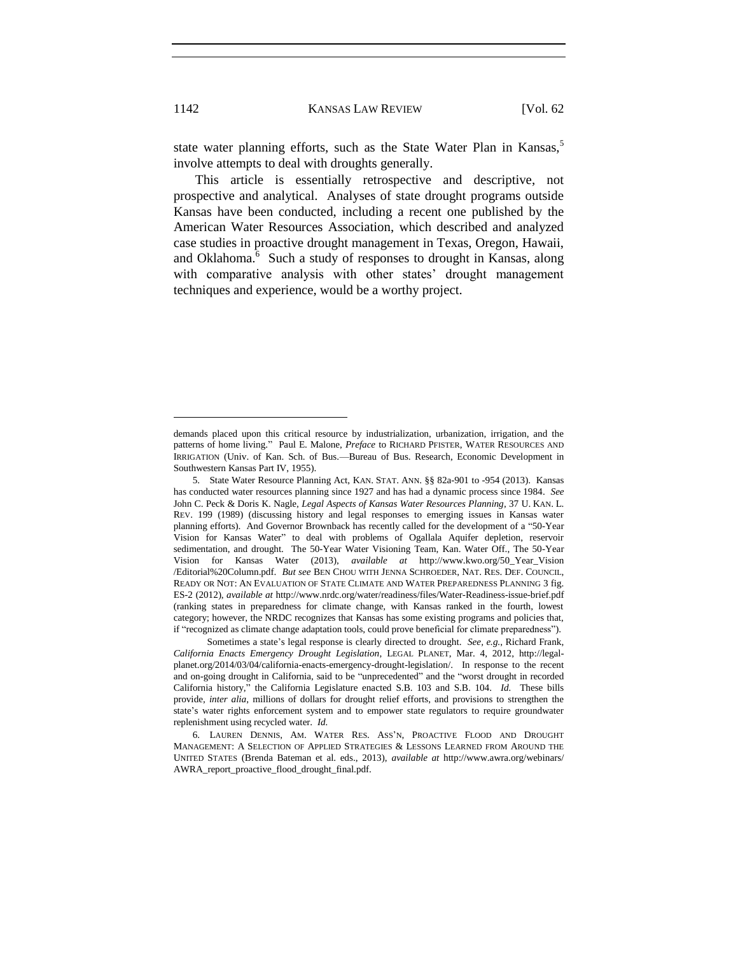state water planning efforts, such as the State Water Plan in Kansas,<sup>5</sup> involve attempts to deal with droughts generally.

This article is essentially retrospective and descriptive, not prospective and analytical. Analyses of state drought programs outside Kansas have been conducted, including a recent one published by the American Water Resources Association, which described and analyzed case studies in proactive drought management in Texas, Oregon, Hawaii, and Oklahoma. $\overline{6}$  Such a study of responses to drought in Kansas, along with comparative analysis with other states' drought management techniques and experience, would be a worthy project.

demands placed upon this critical resource by industrialization, urbanization, irrigation, and the patterns of home living." Paul E. Malone, *Preface* to RICHARD PFISTER, WATER RESOURCES AND IRRIGATION (Univ. of Kan. Sch. of Bus.—Bureau of Bus. Research, Economic Development in Southwestern Kansas Part IV, 1955).

<sup>5.</sup> State Water Resource Planning Act, KAN. STAT. ANN. §§ 82a-901 to -954 (2013). Kansas has conducted water resources planning since 1927 and has had a dynamic process since 1984. *See*  John C. Peck & Doris K. Nagle, *Legal Aspects of Kansas Water Resources Planning*, 37 U. KAN. L. REV. 199 (1989) (discussing history and legal responses to emerging issues in Kansas water planning efforts). And Governor Brownback has recently called for the development of a "50-Year Vision for Kansas Water" to deal with problems of Ogallala Aquifer depletion, reservoir sedimentation, and drought. The 50-Year Water Visioning Team, Kan. Water Off., The 50-Year Vision for Kansas Water (2013), *available at* http://www.kwo.org/50\_Year\_Vision /Editorial%20Column.pdf. *But see* BEN CHOU WITH JENNA SCHROEDER, NAT. RES. DEF. COUNCIL, READY OR NOT: AN EVALUATION OF STATE CLIMATE AND WATER PREPAREDNESS PLANNING 3 fig. ES-2 (2012), *available at* http://www.nrdc.org/water/readiness/files/Water-Readiness-issue-brief.pdf (ranking states in preparedness for climate change, with Kansas ranked in the fourth, lowest category; however, the NRDC recognizes that Kansas has some existing programs and policies that, if "recognized as climate change adaptation tools, could prove beneficial for climate preparedness").

Sometimes a state's legal response is clearly directed to drought. *See, e.g.*, Richard Frank, *California Enacts Emergency Drought Legislation*, LEGAL PLANET, Mar. 4, 2012, http://legalplanet.org/2014/03/04/california-enacts-emergency-drought-legislation/. In response to the recent and on-going drought in California, said to be "unprecedented" and the "worst drought in recorded California history," the California Legislature enacted S.B. 103 and S.B. 104. *Id.* These bills provide, *inter alia*, millions of dollars for drought relief efforts, and provisions to strengthen the state's water rights enforcement system and to empower state regulators to require groundwater replenishment using recycled water. *Id.*

<sup>6.</sup> LAUREN DENNIS, AM. WATER RES. ASS'N, PROACTIVE FLOOD AND DROUGHT MANAGEMENT: A SELECTION OF APPLIED STRATEGIES & LESSONS LEARNED FROM AROUND THE UNITED STATES (Brenda Bateman et al. eds., 2013), *available at* http://www.awra.org/webinars/ AWRA\_report\_proactive\_flood\_drought\_final.pdf.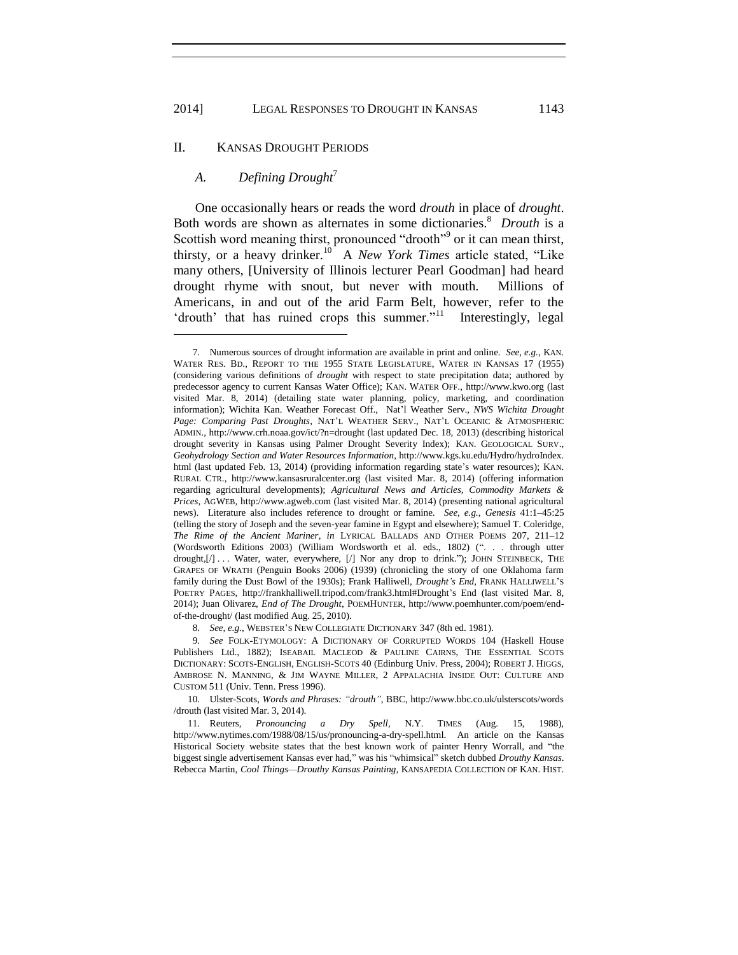# II. KANSAS DROUGHT PERIODS

# *A. Defining Drought*<sup>7</sup>

l

One occasionally hears or reads the word *drouth* in place of *drought*. Both words are shown as alternates in some dictionaries.<sup>8</sup> Drouth is a Scottish word meaning thirst, pronounced "drooth"<sup>9</sup> or it can mean thirst, thirsty, or a heavy drinker.<sup>10</sup> A *New York Times* article stated, "Like many others, [University of Illinois lecturer Pearl Goodman] had heard drought rhyme with snout, but never with mouth. Millions of Americans, in and out of the arid Farm Belt, however, refer to the 'drouth' that has ruined crops this summer."<sup>11</sup> Interestingly, legal

10. Ulster-Scots, *Words and Phrases: "drouth"*, BBC, http://www.bbc.co.uk/ulsterscots/words /drouth (last visited Mar. 3, 2014).

<sup>7.</sup> Numerous sources of drought information are available in print and online. *See, e.g.*, KAN. WATER RES. BD., REPORT TO THE 1955 STATE LEGISLATURE, WATER IN KANSAS 17 (1955) (considering various definitions of *drought* with respect to state precipitation data; authored by predecessor agency to current Kansas Water Office); KAN. WATER OFF., http://www.kwo.org (last visited Mar. 8, 2014) (detailing state water planning, policy, marketing, and coordination information); Wichita Kan. Weather Forecast Off., Nat'l Weather Serv., *NWS Wichita Drought Page: Comparing Past Droughts*, NAT'L WEATHER SERV., NAT'L OCEANIC & ATMOSPHERIC ADMIN., http://www.crh.noaa.gov/ict/?n=drought (last updated Dec. 18, 2013) (describing historical drought severity in Kansas using Palmer Drought Severity Index); KAN. GEOLOGICAL SURV., *Geohydrology Section and Water Resources Information*, http://www.kgs.ku.edu/Hydro/hydroIndex. html (last updated Feb. 13, 2014) (providing information regarding state's water resources); KAN. RURAL CTR., http://www.kansasruralcenter.org (last visited Mar. 8, 2014) (offering information regarding agricultural developments); *Agricultural News and Articles, Commodity Markets & Prices*, AGWEB, http://www.agweb.com (last visited Mar. 8, 2014) (presenting national agricultural news). Literature also includes reference to drought or famine. *See, e.g.*, *Genesis* 41:1–45:25 (telling the story of Joseph and the seven-year famine in Egypt and elsewhere); Samuel T. Coleridge, *The Rime of the Ancient Mariner*, *in* LYRICAL BALLADS AND OTHER POEMS 207, 211–12 (Wordsworth Editions 2003) (William Wordsworth et al. eds., 1802) (". . . through utter drought, [/] . . . Water, water, everywhere, [/] Nor any drop to drink."); JOHN STEINBECK, THE GRAPES OF WRATH (Penguin Books 2006) (1939) (chronicling the story of one Oklahoma farm family during the Dust Bowl of the 1930s); Frank Halliwell, *Drought's End*, FRANK HALLIWELL'S POETRY PAGES, http://frankhalliwell.tripod.com/frank3.html#Drought's End (last visited Mar. 8, 2014); Juan Olivarez, *End of The Drought*, POEMHUNTER, http://www.poemhunter.com/poem/endof-the-drought/ (last modified Aug. 25, 2010).

<sup>8.</sup> *See, e.g.*, WEBSTER'S NEW COLLEGIATE DICTIONARY 347 (8th ed. 1981).

<sup>9.</sup> *See* FOLK-ETYMOLOGY: A DICTIONARY OF CORRUPTED WORDS 104 (Haskell House Publishers Ltd., 1882); ISEABAIL MACLEOD & PAULINE CAIRNS, THE ESSENTIAL SCOTS DICTIONARY: SCOTS-ENGLISH, ENGLISH-SCOTS 40 (Edinburg Univ. Press, 2004); ROBERT J. HIGGS, AMBROSE N. MANNING, & JIM WAYNE MILLER, 2 APPALACHIA INSIDE OUT: CULTURE AND CUSTOM 511 (Univ. Tenn. Press 1996).

<sup>11.</sup> Reuters, *Pronouncing a Dry Spell*, N.Y. TIMES (Aug. 15, 1988), http://www.nytimes.com/1988/08/15/us/pronouncing-a-dry-spell.html. An article on the Kansas Historical Society website states that the best known work of painter Henry Worrall, and "the biggest single advertisement Kansas ever had," was his "whimsical" sketch dubbed *Drouthy Kansas*. Rebecca Martin, *Cool Things—Drouthy Kansas Painting*, KANSAPEDIA COLLECTION OF KAN. HIST.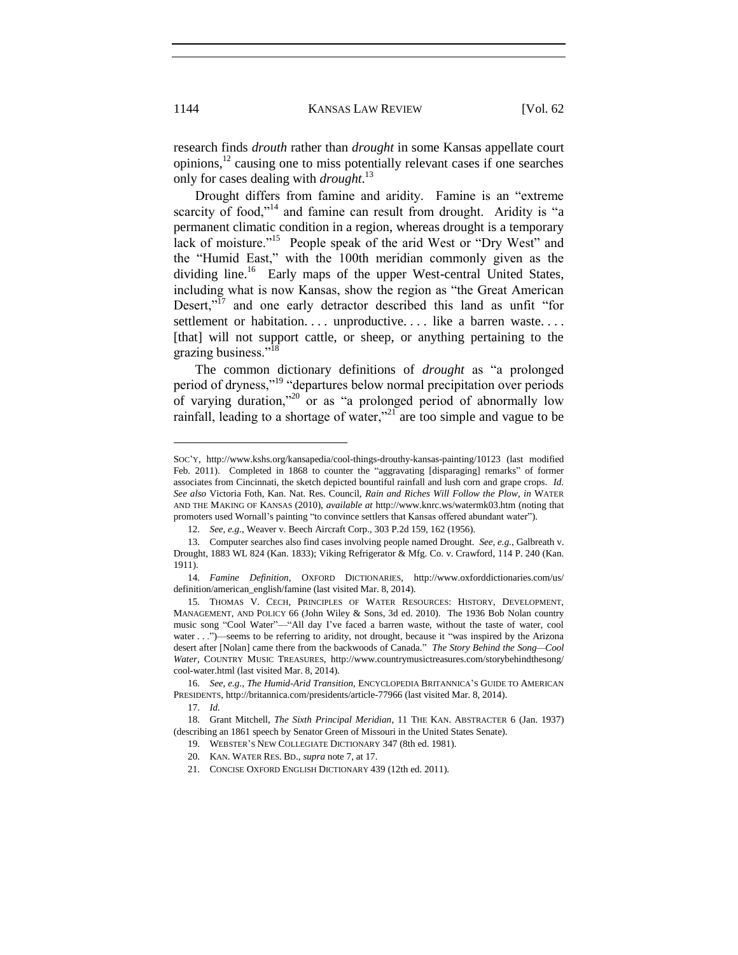research finds *drouth* rather than *drought* in some Kansas appellate court opinions, $^{12}$  causing one to miss potentially relevant cases if one searches only for cases dealing with *drought*. 13

Drought differs from famine and aridity. Famine is an "extreme scarcity of food,"<sup>14</sup> and famine can result from drought. Aridity is "a permanent climatic condition in a region, whereas drought is a temporary lack of moisture."<sup>15</sup> People speak of the arid West or "Dry West" and the "Humid East," with the 100th meridian commonly given as the dividing line.<sup>16</sup> Early maps of the upper West-central United States, including what is now Kansas, show the region as "the Great American Desert,"<sup>17</sup> and one early detractor described this land as unfit "for settlement or habitation.... unproductive.... like a barren waste.... [that] will not support cattle, or sheep, or anything pertaining to the grazing business."<sup>18</sup>

The common dictionary definitions of *drought* as "a prolonged period of dryness,"<sup>19</sup> "departures below normal precipitation over periods of varying duration,"<sup>20</sup> or as "a prolonged period of abnormally low rainfall, leading to a shortage of water,"<sup>21</sup> are too simple and vague to be

SOC'Y, http://www.kshs.org/kansapedia/cool-things-drouthy-kansas-painting/10123 (last modified Feb. 2011). Completed in 1868 to counter the "aggravating [disparaging] remarks" of former associates from Cincinnati, the sketch depicted bountiful rainfall and lush corn and grape crops. *Id. See also* Victoria Foth, Kan. Nat. Res. Council, *Rain and Riches Will Follow the Plow*, *in* WATER AND THE MAKING OF KANSAS (2010), *available at* http://www.knrc.ws/watermk03.htm (noting that promoters used Wornall's painting "to convince settlers that Kansas offered abundant water").

<sup>12.</sup> *See, e.g.*, Weaver v. Beech Aircraft Corp., 303 P.2d 159, 162 (1956).

<sup>13.</sup> Computer searches also find cases involving people named Drought. *See, e.g.*, Galbreath v. Drought, 1883 WL 824 (Kan. 1833); Viking Refrigerator & Mfg. Co. v. Crawford, 114 P. 240 (Kan. 1911).

<sup>14.</sup> *Famine Definition*, OXFORD DICTIONARIES, http://www.oxforddictionaries.com/us/ definition/american\_english/famine (last visited Mar. 8, 2014).

<sup>15.</sup> THOMAS V. CECH, PRINCIPLES OF WATER RESOURCES: HISTORY, DEVELOPMENT, MANAGEMENT, AND POLICY 66 (John Wiley & Sons, 3d ed. 2010). The 1936 Bob Nolan country music song "Cool Water"—"All day I've faced a barren waste, without the taste of water, cool water . . .")—seems to be referring to aridity, not drought, because it "was inspired by the Arizona desert after [Nolan] came there from the backwoods of Canada." *The Story Behind the Song—Cool Water*, COUNTRY MUSIC TREASURES, http://www.countrymusictreasures.com/storybehindthesong/ cool-water.html (last visited Mar. 8, 2014).

<sup>16.</sup> *See, e.g.*, *The Humid-Arid Transition*, ENCYCLOPEDIA BRITANNICA'S GUIDE TO AMERICAN PRESIDENTS, http://britannica.com/presidents/article-77966 (last visited Mar. 8, 2014).

<sup>17.</sup> *Id.*

<sup>18.</sup> Grant Mitchell, *The Sixth Principal Meridian*, 11 THE KAN. ABSTRACTER 6 (Jan. 1937) (describing an 1861 speech by Senator Green of Missouri in the United States Senate).

<sup>19.</sup> WEBSTER'S NEW COLLEGIATE DICTIONARY 347 (8th ed. 1981).

<sup>20.</sup> KAN. WATER RES. BD., *supra* note 7, at 17.

<sup>21.</sup> CONCISE OXFORD ENGLISH DICTIONARY 439 (12th ed. 2011).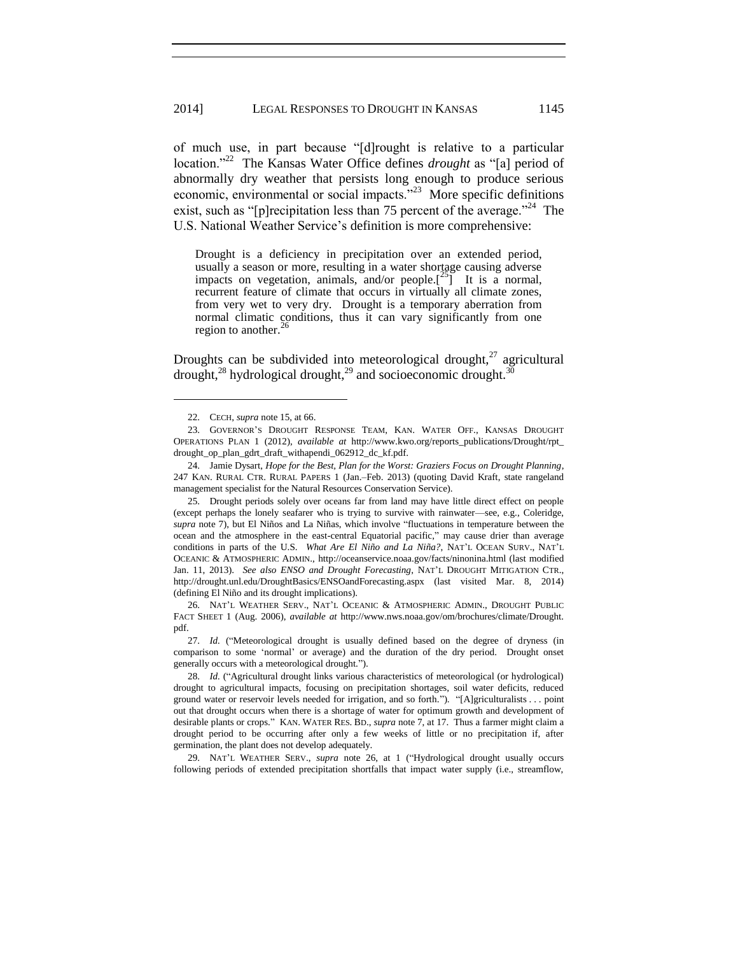of much use, in part because "[d]rought is relative to a particular location."<sup>22</sup> The Kansas Water Office defines *drought* as "[a] period of abnormally dry weather that persists long enough to produce serious economic, environmental or social impacts."<sup>23</sup> More specific definitions exist, such as "[p] recipitation less than 75 percent of the average. $^{224}$  The U.S. National Weather Service's definition is more comprehensive:

Drought is a deficiency in precipitation over an extended period, usually a season or more, resulting in a water shortage causing adverse impacts on vegetation, animals, and/or people. $\left[\begin{array}{cc} 25 \end{array}\right]$  It is a normal, recurrent feature of climate that occurs in virtually all climate zones, from very wet to very dry. Drought is a temporary aberration from normal climatic conditions, thus it can vary significantly from one region to another.<sup>26</sup>

Droughts can be subdivided into meteorological drought, $^{27}$  agricultural drought, $^{28}$  hydrological drought, $^{29}$  and socioeconomic drought. $^{30}$ 

l

25. Drought periods solely over oceans far from land may have little direct effect on people (except perhaps the lonely seafarer who is trying to survive with rainwater—see, e.g., Coleridge, *supra* note 7), but El Niños and La Niñas, which involve "fluctuations in temperature between the ocean and the atmosphere in the east-central Equatorial pacific," may cause drier than average conditions in parts of the U.S. *What Are El Niño and La Niña?*, NAT'L OCEAN SURV., NAT'L OCEANIC & ATMOSPHERIC ADMIN., http://oceanservice.noaa.gov/facts/ninonina.html (last modified Jan. 11, 2013). *See also ENSO and Drought Forecasting*, NAT'L DROUGHT MITIGATION CTR., http://drought.unl.edu/DroughtBasics/ENSOandForecasting.aspx (last visited Mar. 8, 2014) (defining El Niño and its drought implications).

26. NAT'L WEATHER SERV., NAT'L OCEANIC & ATMOSPHERIC ADMIN., DROUGHT PUBLIC FACT SHEET 1 (Aug. 2006), *available at* http://www.nws.noaa.gov/om/brochures/climate/Drought. pdf.

27. *Id.* ("Meteorological drought is usually defined based on the degree of dryness (in comparison to some 'normal' or average) and the duration of the dry period. Drought onset generally occurs with a meteorological drought.").

28. *Id.* ("Agricultural drought links various characteristics of meteorological (or hydrological) drought to agricultural impacts, focusing on precipitation shortages, soil water deficits, reduced ground water or reservoir levels needed for irrigation, and so forth."). "[A]griculturalists . . . point out that drought occurs when there is a shortage of water for optimum growth and development of desirable plants or crops." KAN. WATER RES. BD., *supra* note 7, at 17. Thus a farmer might claim a drought period to be occurring after only a few weeks of little or no precipitation if, after germination, the plant does not develop adequately.

29. NAT'L WEATHER SERV., *supra* note 26, at 1 ("Hydrological drought usually occurs following periods of extended precipitation shortfalls that impact water supply (i.e., streamflow,

<sup>22.</sup> CECH, *supra* note 15, at 66.

<sup>23.</sup> GOVERNOR'S DROUGHT RESPONSE TEAM, KAN. WATER OFF., KANSAS DROUGHT OPERATIONS PLAN 1 (2012), *available at* http://www.kwo.org/reports\_publications/Drought/rpt\_ drought\_op\_plan\_gdrt\_draft\_withapendi\_062912\_dc\_kf.pdf.

<sup>24.</sup> Jamie Dysart, *Hope for the Best, Plan for the Worst: Graziers Focus on Drought Planning*, 247 KAN. RURAL CTR. RURAL PAPERS 1 (Jan.–Feb. 2013) (quoting David Kraft, state rangeland management specialist for the Natural Resources Conservation Service).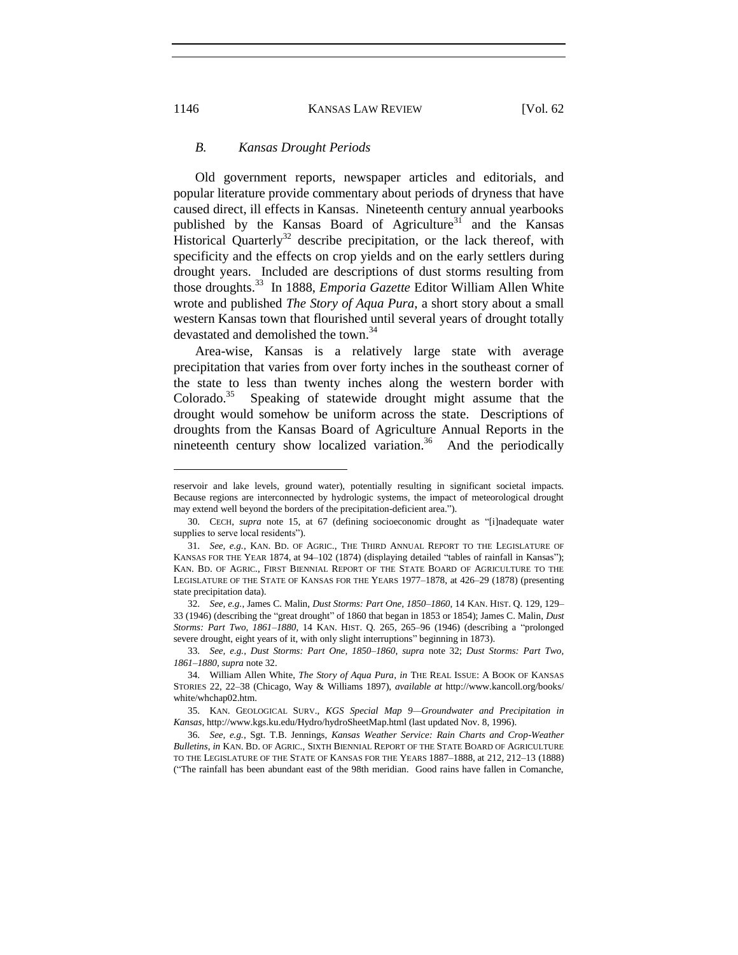# *B. Kansas Drought Periods*

Old government reports, newspaper articles and editorials, and popular literature provide commentary about periods of dryness that have caused direct, ill effects in Kansas. Nineteenth century annual yearbooks published by the Kansas Board of Agriculture<sup>31</sup> and the Kansas Historical Quarterly<sup>32</sup> describe precipitation, or the lack thereof, with specificity and the effects on crop yields and on the early settlers during drought years. Included are descriptions of dust storms resulting from those droughts.<sup>33</sup> In 1888, *Emporia Gazette* Editor William Allen White wrote and published *The Story of Aqua Pura*, a short story about a small western Kansas town that flourished until several years of drought totally devastated and demolished the town.<sup>34</sup>

Area-wise, Kansas is a relatively large state with average precipitation that varies from over forty inches in the southeast corner of the state to less than twenty inches along the western border with Colorado.<sup>35</sup> Speaking of statewide drought might assume that the drought would somehow be uniform across the state. Descriptions of droughts from the Kansas Board of Agriculture Annual Reports in the nineteenth century show localized variation.<sup>36</sup> And the periodically

reservoir and lake levels, ground water), potentially resulting in significant societal impacts. Because regions are interconnected by hydrologic systems, the impact of meteorological drought may extend well beyond the borders of the precipitation-deficient area.").

<sup>30.</sup> CECH, *supra* note 15, at 67 (defining socioeconomic drought as "[i]nadequate water supplies to serve local residents").

<sup>31.</sup> *See, e.g.*, KAN. BD. OF AGRIC., THE THIRD ANNUAL REPORT TO THE LEGISLATURE OF KANSAS FOR THE YEAR 1874, at 94–102 (1874) (displaying detailed "tables of rainfall in Kansas"); KAN. BD. OF AGRIC., FIRST BIENNIAL REPORT OF THE STATE BOARD OF AGRICULTURE TO THE LEGISLATURE OF THE STATE OF KANSAS FOR THE YEARS 1977–1878, at 426–29 (1878) (presenting state precipitation data).

<sup>32.</sup> *See, e.g.*, James C. Malin, *Dust Storms: Part One, 1850–1860*, 14 KAN. HIST. Q. 129, 129– 33 (1946) (describing the "great drought" of 1860 that began in 1853 or 1854); James C. Malin, *Dust Storms: Part Two, 1861–1880*, 14 KAN. HIST. Q. 265, 265–96 (1946) (describing a "prolonged severe drought, eight years of it, with only slight interruptions" beginning in 1873).

<sup>33.</sup> *See, e.g.*, *Dust Storms: Part One, 1850–1860*, *supra* note 32; *Dust Storms: Part Two, 1861–1880*, *supra* note 32.

<sup>34.</sup> William Allen White, *The Story of Aqua Pura*, *in* THE REAL ISSUE: A BOOK OF KANSAS STORIES 22, 22–38 (Chicago, Way & Williams 1897), *available at* http://www.kancoll.org/books/ white/whchap02.htm.

<sup>35.</sup> KAN. GEOLOGICAL SURV., *KGS Special Map 9—Groundwater and Precipitation in Kansas*, http://www.kgs.ku.edu/Hydro/hydroSheetMap.html (last updated Nov. 8, 1996).

<sup>36.</sup> *See, e.g.*, Sgt. T.B. Jennings, *Kansas Weather Service: Rain Charts and Crop-Weather Bulletins*, *in* KAN. BD. OF AGRIC., SIXTH BIENNIAL REPORT OF THE STATE BOARD OF AGRICULTURE TO THE LEGISLATURE OF THE STATE OF KANSAS FOR THE YEARS 1887–1888, at 212, 212–13 (1888) ("The rainfall has been abundant east of the 98th meridian. Good rains have fallen in Comanche,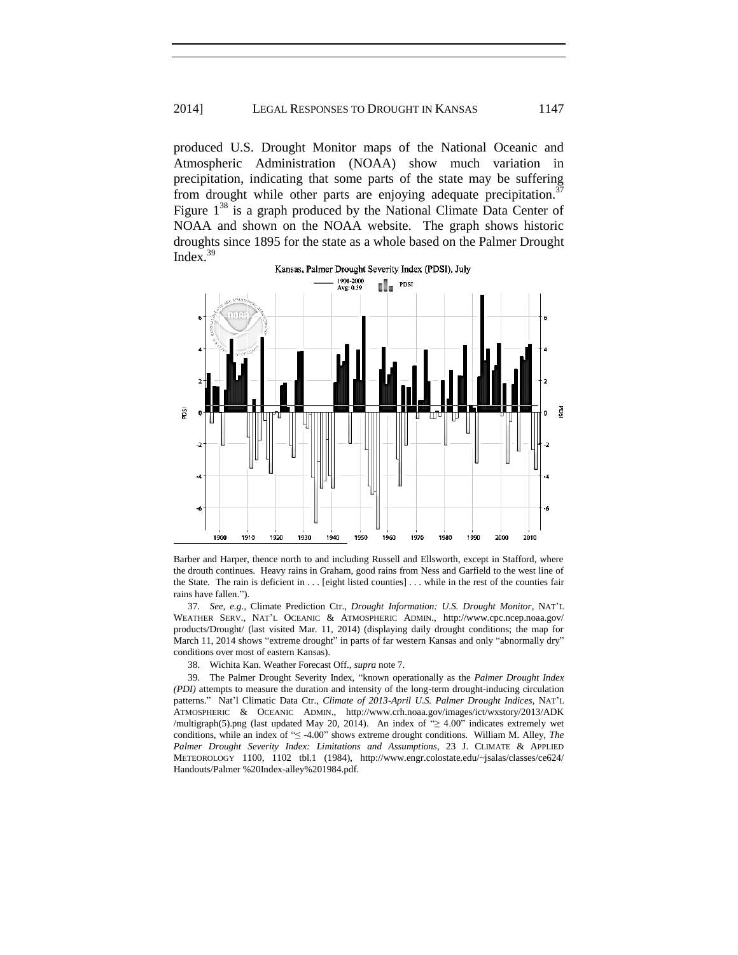# 2014] LEGAL RESPONSES TO DROUGHT IN KANSAS 1147

produced U.S. Drought Monitor maps of the National Oceanic and Atmospheric Administration (NOAA) show much variation in precipitation, indicating that some parts of the state may be suffering from drought while other parts are enjoying adequate precipitation.<sup>37</sup> Figure  $1^{38}$  is a graph produced by the National Climate Data Center of NOAA and shown on the NOAA website. The graph shows historic droughts since 1895 for the state as a whole based on the Palmer Drought Index. $39$ 





37. *See, e.g.*, Climate Prediction Ctr., *Drought Information: U.S. Drought Monitor*, NAT'L WEATHER SERV., NAT'L OCEANIC & ATMOSPHERIC ADMIN., http://www.cpc.ncep.noaa.gov/ products/Drought/ (last visited Mar. 11, 2014) (displaying daily drought conditions; the map for March 11, 2014 shows "extreme drought" in parts of far western Kansas and only "abnormally dry" conditions over most of eastern Kansas).

38. Wichita Kan. Weather Forecast Off., *supra* note 7.

39. The Palmer Drought Severity Index, "known operationally as the *Palmer Drought Index (PDI)* attempts to measure the duration and intensity of the long-term drought-inducing circulation patterns." Nat'l Climatic Data Ctr., *Climate of 2013-April U.S. Palmer Drought Indices*, NAT'L ATMOSPHERIC & OCEANIC ADMIN., http://www.crh.noaa.gov/images/ict/wxstory/2013/ADK /multigraph(5).png (last updated May 20, 2014). An index of "≥ 4.00" indicates extremely wet conditions, while an index of "≤ -4.00" shows extreme drought conditions. William M. Alley, *The Palmer Drought Severity Index: Limitations and Assumptions*, 23 J. CLIMATE & APPLIED METEOROLOGY 1100, 1102 tbl.1 (1984), http://www.engr.colostate.edu/~jsalas/classes/ce624/ Handouts/Palmer %20Index-alley%201984.pdf.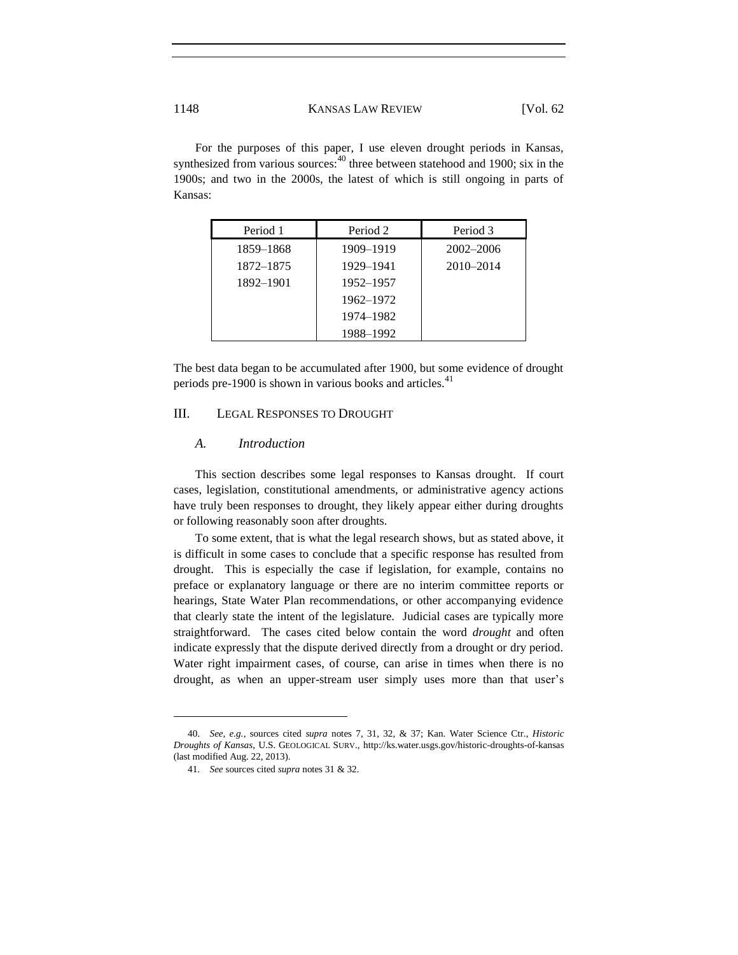For the purposes of this paper, I use eleven drought periods in Kansas, synthesized from various sources: $40$  three between statehood and 1900; six in the 1900s; and two in the 2000s, the latest of which is still ongoing in parts of Kansas:

| Period 1  | Period 2  | Period 3      |
|-----------|-----------|---------------|
| 1859–1868 | 1909-1919 | 2002–2006     |
| 1872–1875 | 1929-1941 | $2010 - 2014$ |
| 1892-1901 | 1952–1957 |               |
|           | 1962–1972 |               |
|           | 1974–1982 |               |
|           | 1988-1992 |               |

The best data began to be accumulated after 1900, but some evidence of drought periods pre-1900 is shown in various books and articles.<sup>41</sup>

# III. LEGAL RESPONSES TO DROUGHT

# *A. Introduction*

This section describes some legal responses to Kansas drought. If court cases, legislation, constitutional amendments, or administrative agency actions have truly been responses to drought, they likely appear either during droughts or following reasonably soon after droughts.

To some extent, that is what the legal research shows, but as stated above, it is difficult in some cases to conclude that a specific response has resulted from drought. This is especially the case if legislation, for example, contains no preface or explanatory language or there are no interim committee reports or hearings, State Water Plan recommendations, or other accompanying evidence that clearly state the intent of the legislature. Judicial cases are typically more straightforward. The cases cited below contain the word *drought* and often indicate expressly that the dispute derived directly from a drought or dry period. Water right impairment cases, of course, can arise in times when there is no drought, as when an upper-stream user simply uses more than that user's

<sup>40.</sup> *See, e.g.*, sources cited *supra* notes 7, 31, 32, & 37; Kan. Water Science Ctr., *Historic Droughts of Kansas*, U.S. GEOLOGICAL SURV., http://ks.water.usgs.gov/historic-droughts-of-kansas (last modified Aug. 22, 2013).

<sup>41.</sup> *See* sources cited *supra* notes 31 & 32.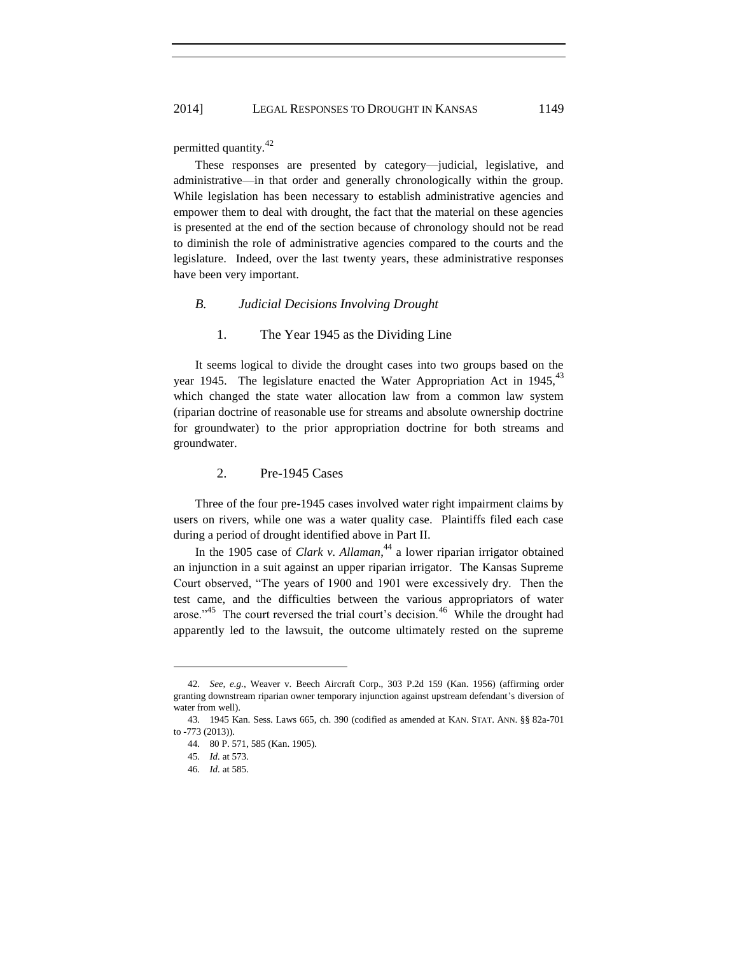#### 2014] LEGAL RESPONSES TO DROUGHT IN KANSAS 1149

permitted quantity.<sup>42</sup>

These responses are presented by category—judicial, legislative, and administrative—in that order and generally chronologically within the group. While legislation has been necessary to establish administrative agencies and empower them to deal with drought, the fact that the material on these agencies is presented at the end of the section because of chronology should not be read to diminish the role of administrative agencies compared to the courts and the legislature. Indeed, over the last twenty years, these administrative responses have been very important.

# *B. Judicial Decisions Involving Drought*

# 1. The Year 1945 as the Dividing Line

It seems logical to divide the drought cases into two groups based on the year 1945. The legislature enacted the Water Appropriation Act in  $1945$ ,  $43$ which changed the state water allocation law from a common law system (riparian doctrine of reasonable use for streams and absolute ownership doctrine for groundwater) to the prior appropriation doctrine for both streams and groundwater.

# 2. Pre-1945 Cases

Three of the four pre-1945 cases involved water right impairment claims by users on rivers, while one was a water quality case. Plaintiffs filed each case during a period of drought identified above in Part II.

In the 1905 case of *Clark v. Allaman*,<sup>44</sup> a lower riparian irrigator obtained an injunction in a suit against an upper riparian irrigator. The Kansas Supreme Court observed, "The years of 1900 and 1901 were excessively dry. Then the test came, and the difficulties between the various appropriators of water arose."<sup>45</sup> The court reversed the trial court's decision.<sup>46</sup> While the drought had apparently led to the lawsuit, the outcome ultimately rested on the supreme

<sup>42.</sup> *See, e.g.*, Weaver v. Beech Aircraft Corp., 303 P.2d 159 (Kan. 1956) (affirming order granting downstream riparian owner temporary injunction against upstream defendant's diversion of water from well).

<sup>43.</sup> 1945 Kan. Sess. Laws 665, ch. 390 (codified as amended at KAN. STAT. ANN. §§ 82a-701 to -773 (2013)).

<sup>44.</sup> 80 P. 571, 585 (Kan. 1905).

<sup>45.</sup> *Id.* at 573.

<sup>46.</sup> *Id.* at 585.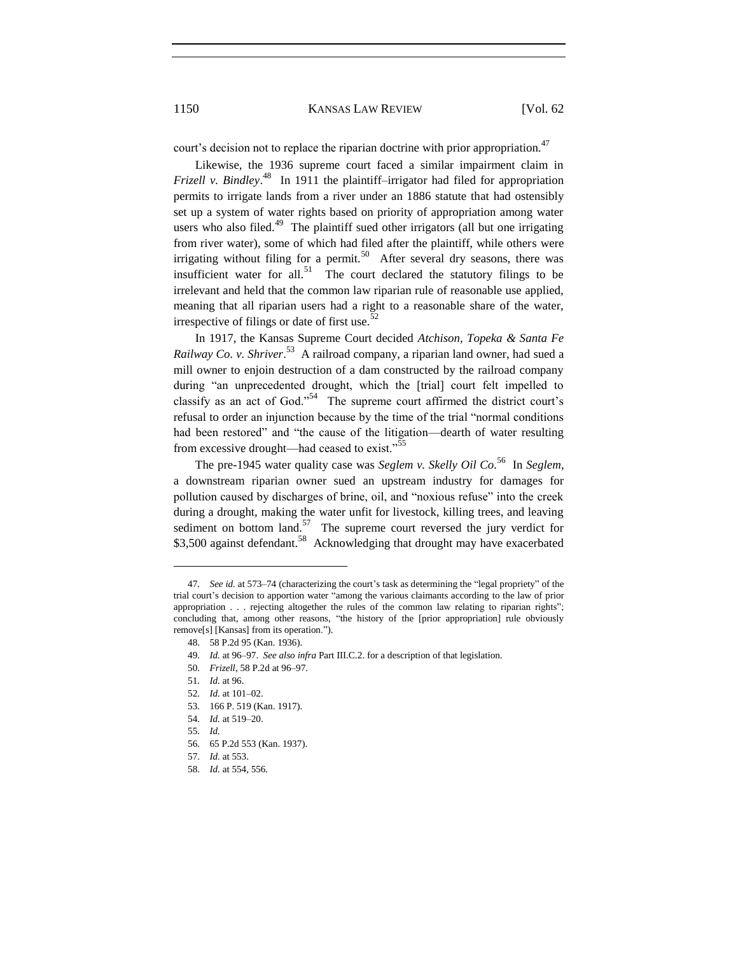court's decision not to replace the riparian doctrine with prior appropriation.<sup>47</sup>

Likewise, the 1936 supreme court faced a similar impairment claim in *Frizell v. Bindley*. 48 In 1911 the plaintiff–irrigator had filed for appropriation permits to irrigate lands from a river under an 1886 statute that had ostensibly set up a system of water rights based on priority of appropriation among water users who also filed. $49$  The plaintiff sued other irrigators (all but one irrigating from river water), some of which had filed after the plaintiff, while others were irrigating without filing for a permit.<sup>50</sup> After several dry seasons, there was insufficient water for all.<sup>51</sup> The court declared the statutory filings to be irrelevant and held that the common law riparian rule of reasonable use applied, meaning that all riparian users had a right to a reasonable share of the water, irrespective of filings or date of first use. $52$ 

In 1917, the Kansas Supreme Court decided *Atchison, Topeka & Santa Fe Railway Co. v. Shriver*. 53 A railroad company, a riparian land owner, had sued a mill owner to enjoin destruction of a dam constructed by the railroad company during "an unprecedented drought, which the [trial] court felt impelled to classify as an act of God."<sup>54</sup> The supreme court affirmed the district court's refusal to order an injunction because by the time of the trial "normal conditions had been restored" and "the cause of the litigation—dearth of water resulting from excessive drought—had ceased to exist."<sup>55</sup>

The pre-1945 water quality case was *Seglem v. Skelly Oil Co.*<sup>56</sup> In *Seglem*, a downstream riparian owner sued an upstream industry for damages for pollution caused by discharges of brine, oil, and "noxious refuse" into the creek during a drought, making the water unfit for livestock, killing trees, and leaving sediment on bottom land. $57$  The supreme court reversed the jury verdict for \$3,500 against defendant.<sup>58</sup> Acknowledging that drought may have exacerbated

<sup>47.</sup> *See id.* at 573–74 (characterizing the court's task as determining the "legal propriety" of the trial court's decision to apportion water "among the various claimants according to the law of prior appropriation . . . rejecting altogether the rules of the common law relating to riparian rights"; concluding that, among other reasons, "the history of the [prior appropriation] rule obviously remove[s] [Kansas] from its operation.").

<sup>48.</sup> 58 P.2d 95 (Kan. 1936).

<sup>49.</sup> *Id.* at 96–97. *See also infra* Part III.C.2. for a description of that legislation.

<sup>50.</sup> *Frizell*, 58 P.2d at 96–97.

<sup>51.</sup> *Id.* at 96.

<sup>52.</sup> *Id.* at 101–02.

<sup>53.</sup> 166 P. 519 (Kan. 1917).

<sup>54.</sup> *Id.* at 519–20.

<sup>55.</sup> *Id.*

<sup>56.</sup> 65 P.2d 553 (Kan. 1937).

<sup>57.</sup> *Id.* at 553.

<sup>58.</sup> *Id.* at 554, 556.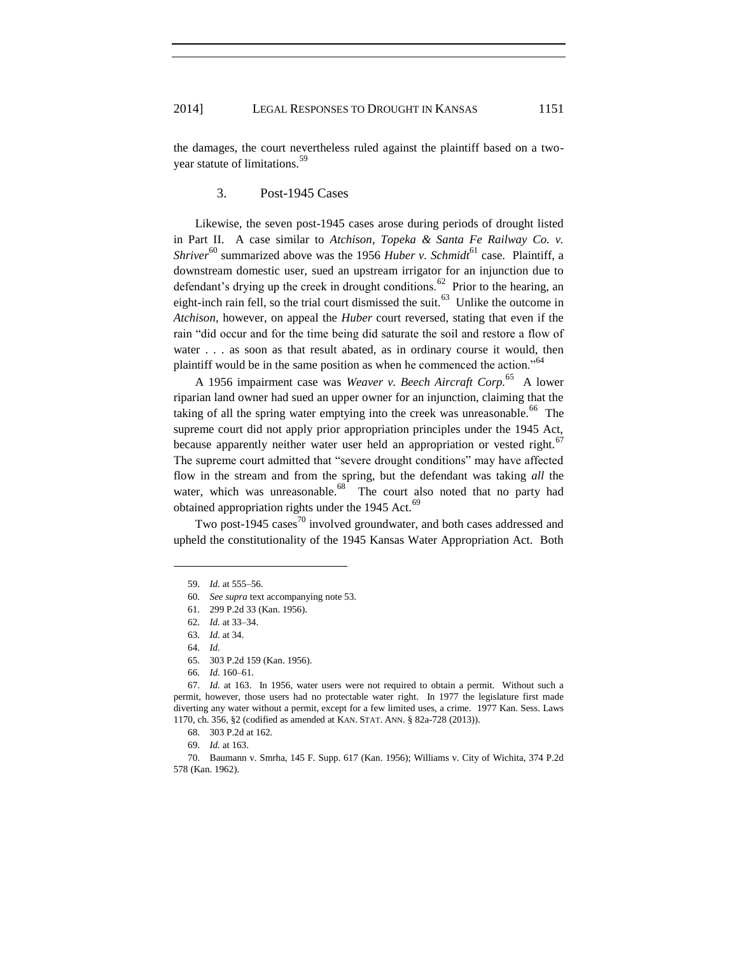the damages, the court nevertheless ruled against the plaintiff based on a twoyear statute of limitations.<sup>59</sup>

# 3. Post-1945 Cases

Likewise, the seven post-1945 cases arose during periods of drought listed in Part II. A case similar to *Atchison, Topeka & Santa Fe Railway Co. v. Shriver*<sup>60</sup> summarized above was the 1956 *Huber v. Schmidt*<sup>61</sup> case. Plaintiff, a downstream domestic user, sued an upstream irrigator for an injunction due to defendant's drying up the creek in drought conditions.<sup>62</sup> Prior to the hearing, an eight-inch rain fell, so the trial court dismissed the suit.<sup>63</sup> Unlike the outcome in *Atchison*, however, on appeal the *Huber* court reversed, stating that even if the rain "did occur and for the time being did saturate the soil and restore a flow of water . . . as soon as that result abated, as in ordinary course it would, then plaintiff would be in the same position as when he commenced the action."<sup>64</sup>

A 1956 impairment case was *Weaver v. Beech Aircraft Corp.*<sup>65</sup> A lower riparian land owner had sued an upper owner for an injunction, claiming that the taking of all the spring water emptying into the creek was unreasonable.<sup>66</sup> The supreme court did not apply prior appropriation principles under the 1945 Act, because apparently neither water user held an appropriation or vested right.<sup>67</sup> The supreme court admitted that "severe drought conditions" may have affected flow in the stream and from the spring, but the defendant was taking *all* the water, which was unreasonable.<sup>68</sup> The court also noted that no party had obtained appropriation rights under the 1945 Act.<sup>69</sup>

Two post-1945 cases $^{70}$  involved groundwater, and both cases addressed and upheld the constitutionality of the 1945 Kansas Water Appropriation Act. Both

<sup>59.</sup> *Id.* at 555–56.

<sup>60.</sup> *See supra* text accompanying note 53.

<sup>61.</sup> 299 P.2d 33 (Kan. 1956).

<sup>62.</sup> *Id.* at 33–34.

<sup>63.</sup> *Id.* at 34.

<sup>64.</sup> *Id.*

<sup>65.</sup> 303 P.2d 159 (Kan. 1956).

<sup>66.</sup> *Id.* 160–61.

<sup>67.</sup> *Id.* at 163. In 1956, water users were not required to obtain a permit. Without such a permit, however, those users had no protectable water right. In 1977 the legislature first made diverting any water without a permit, except for a few limited uses, a crime. 1977 Kan. Sess. Laws 1170, ch. 356, §2 (codified as amended at KAN. STAT. ANN. § 82a-728 (2013)).

<sup>68.</sup> 303 P.2d at 162.

<sup>69.</sup> *Id.* at 163.

<sup>70.</sup> Baumann v. Smrha, 145 F. Supp. 617 (Kan. 1956); Williams v. City of Wichita, 374 P.2d 578 (Kan. 1962).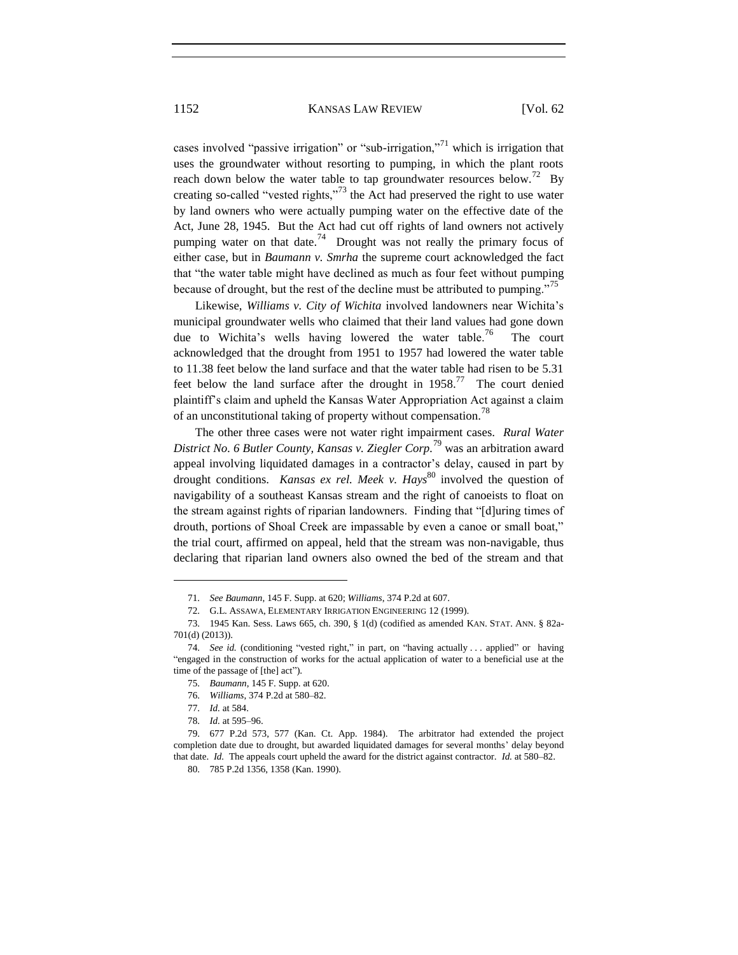cases involved "passive irrigation" or "sub-irrigation,"<sup>71</sup> which is irrigation that uses the groundwater without resorting to pumping, in which the plant roots reach down below the water table to tap groundwater resources below.<sup>72</sup> By creating so-called "vested rights,"<sup>73</sup> the Act had preserved the right to use water by land owners who were actually pumping water on the effective date of the Act, June 28, 1945. But the Act had cut off rights of land owners not actively pumping water on that date.<sup>74</sup> Drought was not really the primary focus of either case, but in *Baumann v. Smrha* the supreme court acknowledged the fact that "the water table might have declined as much as four feet without pumping because of drought, but the rest of the decline must be attributed to pumping."<sup>75</sup>

Likewise, *Williams v. City of Wichita* involved landowners near Wichita's municipal groundwater wells who claimed that their land values had gone down due to Wichita's wells having lowered the water table.<sup>76</sup> The court acknowledged that the drought from 1951 to 1957 had lowered the water table to 11.38 feet below the land surface and that the water table had risen to be 5.31 feet below the land surface after the drought in  $1958$ <sup>77</sup>. The court denied plaintiff's claim and upheld the Kansas Water Appropriation Act against a claim of an unconstitutional taking of property without compensation.<sup>78</sup>

The other three cases were not water right impairment cases. *Rural Water District No. 6 Butler County, Kansas v. Ziegler Corp.*<sup>79</sup> was an arbitration award appeal involving liquidated damages in a contractor's delay, caused in part by drought conditions. *Kansas ex rel. Meek v. Hays*<sup>80</sup> involved the question of navigability of a southeast Kansas stream and the right of canoeists to float on the stream against rights of riparian landowners. Finding that "[d]uring times of drouth, portions of Shoal Creek are impassable by even a canoe or small boat," the trial court, affirmed on appeal, held that the stream was non-navigable, thus declaring that riparian land owners also owned the bed of the stream and that

<sup>71.</sup> *See Baumann*, 145 F. Supp. at 620; *Williams*, 374 P.2d at 607.

<sup>72.</sup> G.L. ASSAWA, ELEMENTARY IRRIGATION ENGINEERING 12 (1999).

<sup>73.</sup> 1945 Kan. Sess. Laws 665, ch. 390, § 1(d) (codified as amended KAN. STAT. ANN. § 82a-701(d) (2013)).

<sup>74.</sup> *See id.* (conditioning "vested right," in part, on "having actually . . . applied" or having "engaged in the construction of works for the actual application of water to a beneficial use at the time of the passage of [the] act").

<sup>75.</sup> *Baumann*, 145 F. Supp. at 620.

<sup>76.</sup> *Williams*, 374 P.2d at 580–82.

<sup>77.</sup> *Id.* at 584.

<sup>78.</sup> *Id.* at 595–96.

<sup>79.</sup> 677 P.2d 573, 577 (Kan. Ct. App. 1984). The arbitrator had extended the project completion date due to drought, but awarded liquidated damages for several months' delay beyond that date. *Id.* The appeals court upheld the award for the district against contractor. *Id.* at 580–82.

<sup>80.</sup> 785 P.2d 1356, 1358 (Kan. 1990).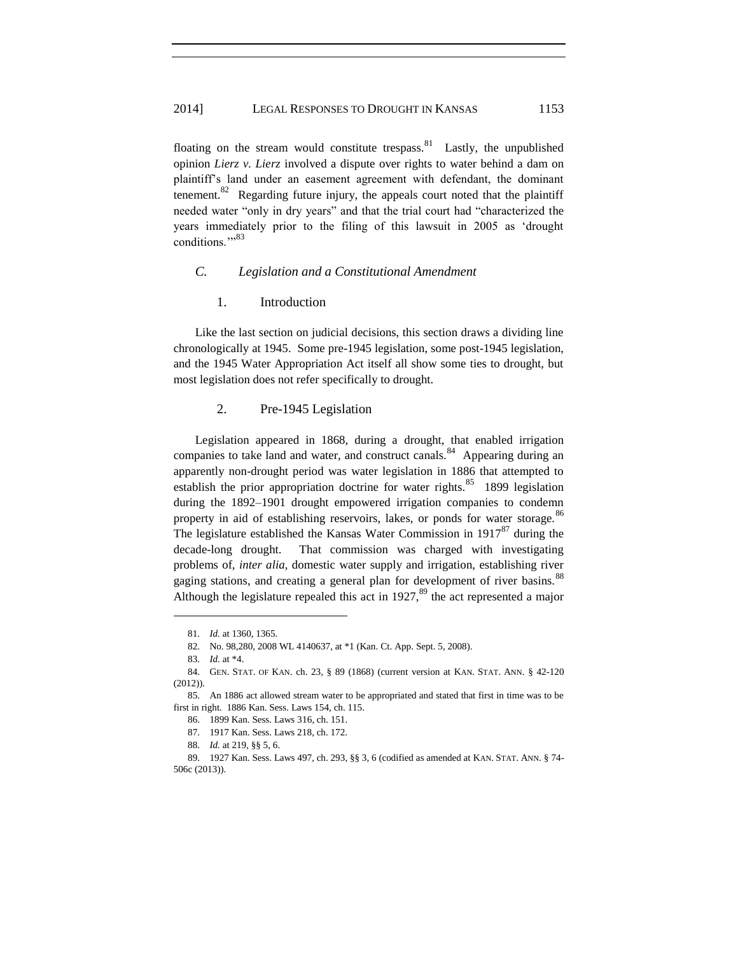floating on the stream would constitute trespass. <sup>81</sup> Lastly, the unpublished opinion *Lierz v. Lierz* involved a dispute over rights to water behind a dam on plaintiff's land under an easement agreement with defendant, the dominant tenement.<sup>82</sup> Regarding future injury, the appeals court noted that the plaintiff needed water "only in dry years" and that the trial court had "characterized the years immediately prior to the filing of this lawsuit in 2005 as 'drought conditions."<sup>583</sup>

# *C. Legislation and a Constitutional Amendment*

### 1. Introduction

Like the last section on judicial decisions, this section draws a dividing line chronologically at 1945. Some pre-1945 legislation, some post-1945 legislation, and the 1945 Water Appropriation Act itself all show some ties to drought, but most legislation does not refer specifically to drought.

# 2. Pre-1945 Legislation

Legislation appeared in 1868, during a drought, that enabled irrigation companies to take land and water, and construct canals.<sup>84</sup> Appearing during an apparently non-drought period was water legislation in 1886 that attempted to establish the prior appropriation doctrine for water rights.  $85$  1899 legislation during the 1892–1901 drought empowered irrigation companies to condemn property in aid of establishing reservoirs, lakes, or ponds for water storage.<sup>86</sup> The legislature established the Kansas Water Commission in  $1917^{87}$  during the decade-long drought. That commission was charged with investigating problems of, *inter alia*, domestic water supply and irrigation, establishing river gaging stations, and creating a general plan for development of river basins.<sup>88</sup> Although the legislature repealed this act in  $1927$ ,<sup>89</sup> the act represented a major

<sup>81.</sup> *Id.* at 1360, 1365.

<sup>82.</sup> No. 98,280, 2008 WL 4140637, at \*1 (Kan. Ct. App. Sept. 5, 2008).

<sup>83.</sup> *Id.* at \*4.

<sup>84.</sup> GEN. STAT. OF KAN. ch. 23, § 89 (1868) (current version at KAN. STAT. ANN. § 42-120 (2012)).

<sup>85.</sup> An 1886 act allowed stream water to be appropriated and stated that first in time was to be first in right. 1886 Kan. Sess. Laws 154, ch. 115.

<sup>86.</sup> 1899 Kan. Sess. Laws 316, ch. 151.

<sup>87.</sup> 1917 Kan. Sess. Laws 218, ch. 172.

<sup>88.</sup> *Id.* at 219, §§ 5, 6.

<sup>89.</sup> 1927 Kan. Sess. Laws 497, ch. 293, §§ 3, 6 (codified as amended at KAN. STAT. ANN. § 74- 506c (2013)).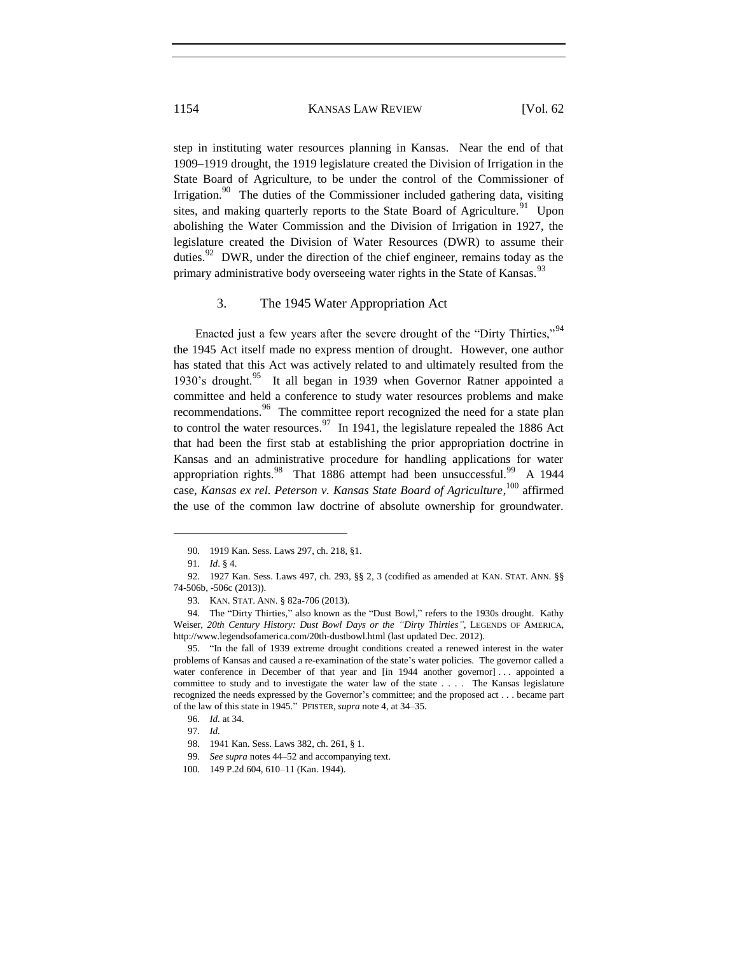step in instituting water resources planning in Kansas. Near the end of that 1909–1919 drought, the 1919 legislature created the Division of Irrigation in the State Board of Agriculture, to be under the control of the Commissioner of Irrigation.<sup>90</sup> The duties of the Commissioner included gathering data, visiting sites, and making quarterly reports to the State Board of Agriculture.<sup>91</sup> Upon abolishing the Water Commission and the Division of Irrigation in 1927, the legislature created the Division of Water Resources (DWR) to assume their duties.<sup>92</sup> DWR, under the direction of the chief engineer, remains today as the primary administrative body overseeing water rights in the State of Kansas.<sup>93</sup>

#### 3. The 1945 Water Appropriation Act

Enacted just a few years after the severe drought of the "Dirty Thirties,"<sup>94</sup> the 1945 Act itself made no express mention of drought. However, one author has stated that this Act was actively related to and ultimately resulted from the 1930's drought.<sup>95</sup> It all began in 1939 when Governor Ratner appointed a committee and held a conference to study water resources problems and make recommendations.<sup>96</sup> The committee report recognized the need for a state plan to control the water resources.<sup>97</sup> In 1941, the legislature repealed the 1886 Act that had been the first stab at establishing the prior appropriation doctrine in Kansas and an administrative procedure for handling applications for water appropriation rights.<sup>98</sup> That 1886 attempt had been unsuccessful.<sup>99</sup> A 1944 case, *Kansas ex rel. Peterson v. Kansas State Board of Agriculture*, <sup>100</sup> affirmed the use of the common law doctrine of absolute ownership for groundwater.

<sup>90.</sup> 1919 Kan. Sess. Laws 297, ch. 218, §1.

<sup>91.</sup> *Id*. § 4.

<sup>92.</sup> 1927 Kan. Sess. Laws 497, ch. 293, §§ 2, 3 (codified as amended at KAN. STAT. ANN. §§ 74-506b, -506c (2013)).

<sup>93.</sup> KAN. STAT. ANN. § 82a-706 (2013).

<sup>94.</sup> The "Dirty Thirties," also known as the "Dust Bowl," refers to the 1930s drought. Kathy Weiser, *20th Century History: Dust Bowl Days or the "Dirty Thirties"*, LEGENDS OF AMERICA, http://www.legendsofamerica.com/20th-dustbowl.html (last updated Dec. 2012).

<sup>95.</sup> "In the fall of 1939 extreme drought conditions created a renewed interest in the water problems of Kansas and caused a re-examination of the state's water policies. The governor called a water conference in December of that year and [in 1944 another governor] ... appointed a committee to study and to investigate the water law of the state . . . . The Kansas legislature recognized the needs expressed by the Governor's committee; and the proposed act . . . became part of the law of this state in 1945." PFISTER, *supra* note 4, at 34–35.

<sup>96.</sup> *Id.* at 34.

<sup>97.</sup> *Id.*

<sup>98.</sup> 1941 Kan. Sess. Laws 382, ch. 261, § 1.

<sup>99.</sup> *See supra* notes 44–52 and accompanying text.

<sup>100.</sup> 149 P.2d 604, 610–11 (Kan. 1944).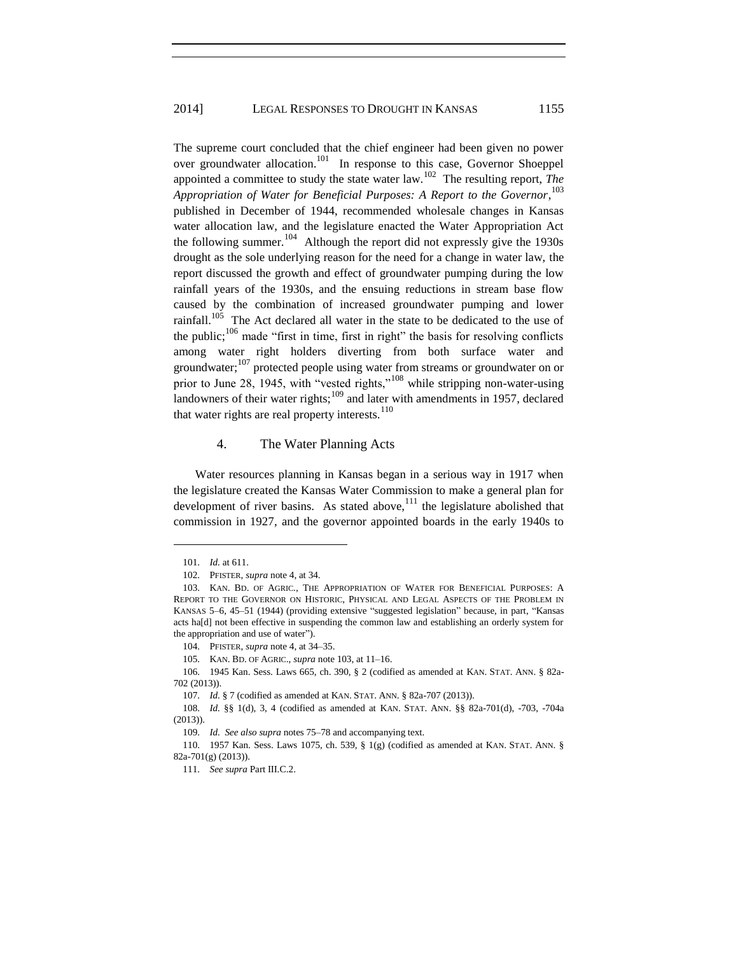The supreme court concluded that the chief engineer had been given no power over groundwater allocation.<sup>101</sup> In response to this case, Governor Shoeppel appointed a committee to study the state water  $law$ .<sup>102</sup> The resulting report, *The Appropriation of Water for Beneficial Purposes: A Report to the Governor*, 103 published in December of 1944, recommended wholesale changes in Kansas water allocation law, and the legislature enacted the Water Appropriation Act the following summer.  $104$  Although the report did not expressly give the 1930s drought as the sole underlying reason for the need for a change in water law, the report discussed the growth and effect of groundwater pumping during the low rainfall years of the 1930s, and the ensuing reductions in stream base flow caused by the combination of increased groundwater pumping and lower rainfall.<sup>105</sup> The Act declared all water in the state to be dedicated to the use of the public; $106$  made "first in time, first in right" the basis for resolving conflicts among water right holders diverting from both surface water and groundwater;<sup>107</sup> protected people using water from streams or groundwater on or prior to June 28, 1945, with "vested rights,"<sup>108</sup> while stripping non-water-using landowners of their water rights; $^{109}$  and later with amendments in 1957, declared that water rights are real property interests. $110$ 

#### 4. The Water Planning Acts

Water resources planning in Kansas began in a serious way in 1917 when the legislature created the Kansas Water Commission to make a general plan for development of river basins. As stated above, $111$  the legislature abolished that commission in 1927, and the governor appointed boards in the early 1940s to

 $\overline{a}$ 

105. KAN. BD. OF AGRIC., *supra* note 103, at 11–16.

106. 1945 Kan. Sess. Laws 665, ch. 390, § 2 (codified as amended at KAN. STAT. ANN. § 82a-702 (2013)).

<sup>101.</sup> *Id.* at 611.

<sup>102.</sup> PFISTER, *supra* note 4, at 34.

<sup>103.</sup> KAN. BD. OF AGRIC., THE APPROPRIATION OF WATER FOR BENEFICIAL PURPOSES: A REPORT TO THE GOVERNOR ON HISTORIC, PHYSICAL AND LEGAL ASPECTS OF THE PROBLEM IN KANSAS 5–6, 45–51 (1944) (providing extensive "suggested legislation" because, in part, "Kansas acts ha[d] not been effective in suspending the common law and establishing an orderly system for the appropriation and use of water").

<sup>104.</sup> PFISTER, *supra* note 4, at 34–35.

<sup>107.</sup> *Id.* § 7 (codified as amended at KAN. STAT. ANN. § 82a-707 (2013)).

<sup>108.</sup> *Id.* §§ 1(d), 3, 4 (codified as amended at KAN. STAT. ANN. §§ 82a-701(d), -703, -704a (2013)).

<sup>109.</sup> *Id. See also supra* notes 75–78 and accompanying text.

<sup>110.</sup> 1957 Kan. Sess. Laws 1075, ch. 539, § 1(g) (codified as amended at KAN. STAT. ANN. § 82a-701(g) (2013)).

<sup>111.</sup> *See supra* Part III.C.2.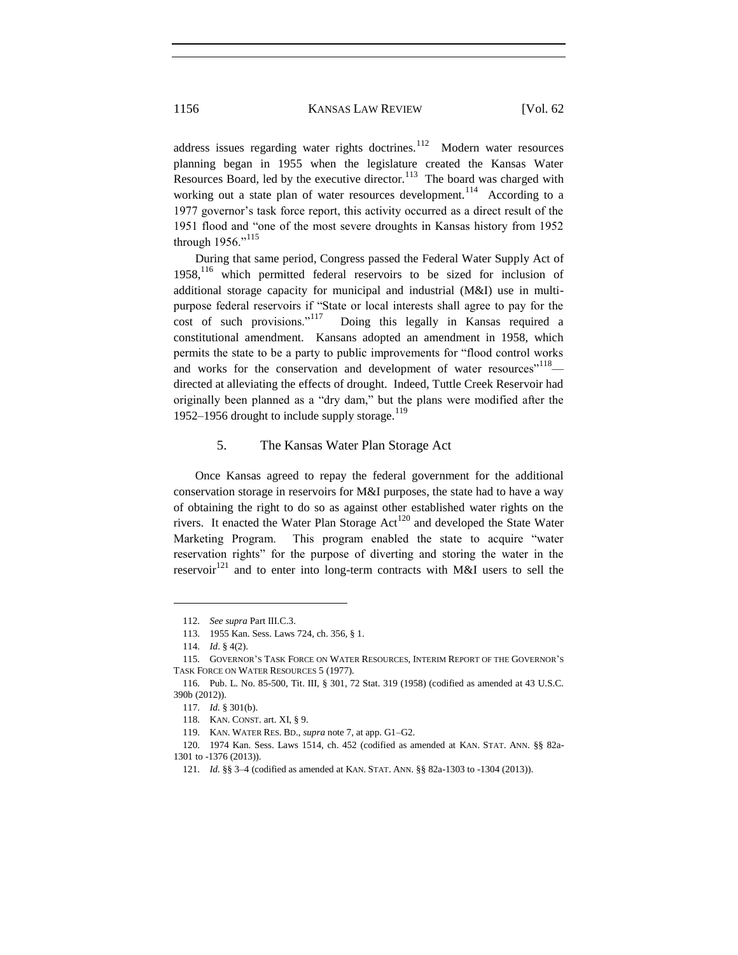address issues regarding water rights doctrines.<sup>112</sup> Modern water resources planning began in 1955 when the legislature created the Kansas Water Resources Board, led by the executive director.<sup>113</sup> The board was charged with working out a state plan of water resources development.<sup>114</sup> According to a 1977 governor's task force report, this activity occurred as a direct result of the 1951 flood and "one of the most severe droughts in Kansas history from 1952 through 1956."<sup>115</sup>

During that same period, Congress passed the Federal Water Supply Act of  $1958$ ,<sup>116</sup> which permitted federal reservoirs to be sized for inclusion of additional storage capacity for municipal and industrial (M&I) use in multipurpose federal reservoirs if "State or local interests shall agree to pay for the cost of such provisions."<sup>117</sup> Doing this legally in Kansas required a constitutional amendment. Kansans adopted an amendment in 1958, which permits the state to be a party to public improvements for "flood control works and works for the conservation and development of water resources"<sup>118</sup> directed at alleviating the effects of drought. Indeed, Tuttle Creek Reservoir had originally been planned as a "dry dam," but the plans were modified after the 1952–1956 drought to include supply storage.<sup>119</sup>

# 5. The Kansas Water Plan Storage Act

Once Kansas agreed to repay the federal government for the additional conservation storage in reservoirs for M&I purposes, the state had to have a way of obtaining the right to do so as against other established water rights on the rivers. It enacted the Water Plan Storage Act<sup>120</sup> and developed the State Water Marketing Program. This program enabled the state to acquire "water reservation rights" for the purpose of diverting and storing the water in the reservoir<sup>121</sup> and to enter into long-term contracts with M&I users to sell the

<sup>112.</sup> *See supra* Part III.C.3.

<sup>113.</sup> 1955 Kan. Sess. Laws 724, ch. 356, § 1.

<sup>114.</sup> *Id*. § 4(2).

<sup>115.</sup> GOVERNOR'S TASK FORCE ON WATER RESOURCES, INTERIM REPORT OF THE GOVERNOR'S TASK FORCE ON WATER RESOURCES 5 (1977).

<sup>116.</sup> Pub. L. No. 85-500, Tit. III, § 301, 72 Stat. 319 (1958) (codified as amended at 43 U.S.C. 390b (2012)).

<sup>117.</sup> *Id.* § 301(b).

<sup>118.</sup> KAN. CONST. art. XI, § 9.

<sup>119.</sup> KAN. WATER RES. BD., *supra* note 7, at app. G1–G2.

<sup>120.</sup> 1974 Kan. Sess. Laws 1514, ch. 452 (codified as amended at KAN. STAT. ANN. §§ 82a-1301 to -1376 (2013))*.*

<sup>121.</sup> *Id.* §§ 3–4 (codified as amended at KAN. STAT. ANN. §§ 82a-1303 to -1304 (2013)).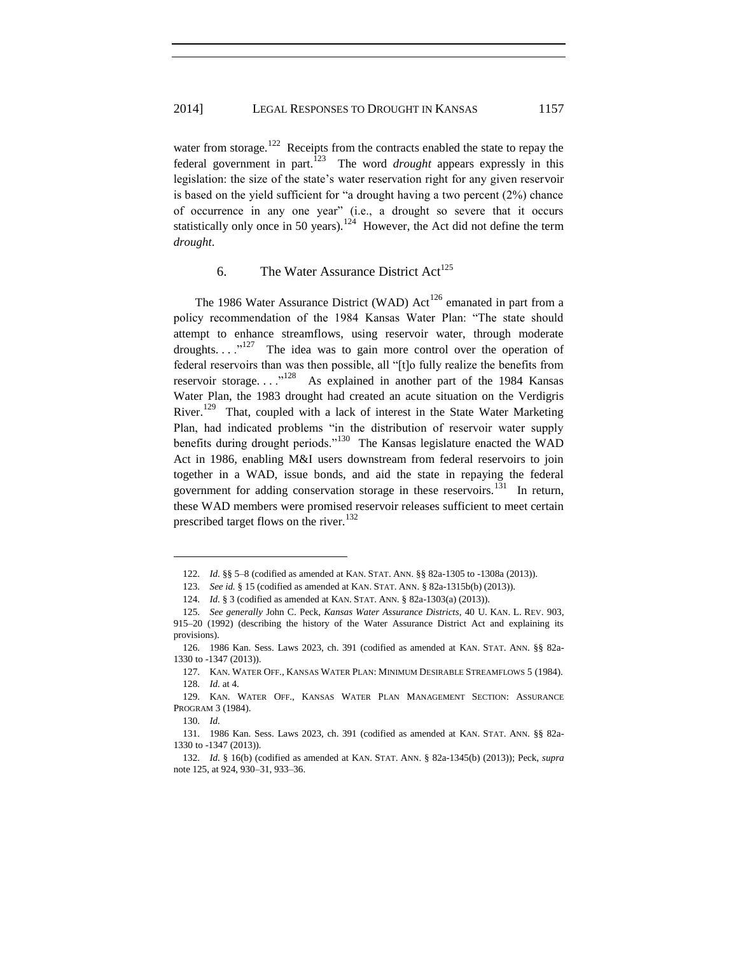water from storage.<sup>122</sup> Receipts from the contracts enabled the state to repay the federal government in part.<sup>123</sup> The word *drought* appears expressly in this legislation: the size of the state's water reservation right for any given reservoir is based on the yield sufficient for "a drought having a two percent (2%) chance of occurrence in any one year" (i.e., a drought so severe that it occurs statistically only once in 50 years).<sup>124</sup> However, the Act did not define the term *drought*.

# 6. The Water Assurance District  $Act^{125}$

The 1986 Water Assurance District (WAD) Act<sup>126</sup> emanated in part from a policy recommendation of the 1984 Kansas Water Plan: "The state should attempt to enhance streamflows, using reservoir water, through moderate droughts...."<sup>127</sup> The idea was to gain more control over the operation of federal reservoirs than was then possible, all "[t]o fully realize the benefits from reservoir storage....<sup>128</sup> As explained in another part of the 1984 Kansas Water Plan, the 1983 drought had created an acute situation on the Verdigris River.<sup>129</sup> That, coupled with a lack of interest in the State Water Marketing Plan, had indicated problems "in the distribution of reservoir water supply benefits during drought periods."<sup>130</sup> The Kansas legislature enacted the WAD Act in 1986, enabling M&I users downstream from federal reservoirs to join together in a WAD, issue bonds, and aid the state in repaying the federal government for adding conservation storage in these reservoirs.<sup>131</sup> In return, these WAD members were promised reservoir releases sufficient to meet certain prescribed target flows on the river.<sup>132</sup>

<sup>122.</sup> *Id.* §§ 5–8 (codified as amended at KAN. STAT. ANN. §§ 82a-1305 to -1308a (2013)).

<sup>123.</sup> *See id.* § 15 (codified as amended at KAN. STAT. ANN. § 82a-1315b(b) (2013)).

<sup>124.</sup> *Id.* § 3 (codified as amended at KAN. STAT. ANN. § 82a-1303(a) (2013)).

<sup>125.</sup> *See generally* John C. Peck, *Kansas Water Assurance Districts*, 40 U. KAN. L. REV. 903, 915–20 (1992) (describing the history of the Water Assurance District Act and explaining its provisions).

<sup>126.</sup> 1986 Kan. Sess. Laws 2023, ch. 391 (codified as amended at KAN. STAT. ANN. §§ 82a-1330 to -1347 (2013)).

<sup>127.</sup> KAN. WATER OFF., KANSAS WATER PLAN: MINIMUM DESIRABLE STREAMFLOWS 5 (1984). 128. *Id.* at 4.

<sup>129.</sup> KAN. WATER OFF., KANSAS WATER PLAN MANAGEMENT SECTION: ASSURANCE PROGRAM 3 (1984).

<sup>130.</sup> *Id.*

<sup>131.</sup> 1986 Kan. Sess. Laws 2023, ch. 391 (codified as amended at KAN. STAT. ANN. §§ 82a-1330 to -1347 (2013))*.*

<sup>132.</sup> *Id.* § 16(b) (codified as amended at KAN. STAT. ANN. § 82a-1345(b) (2013)); Peck, *supra* note 125, at 924, 930–31, 933–36.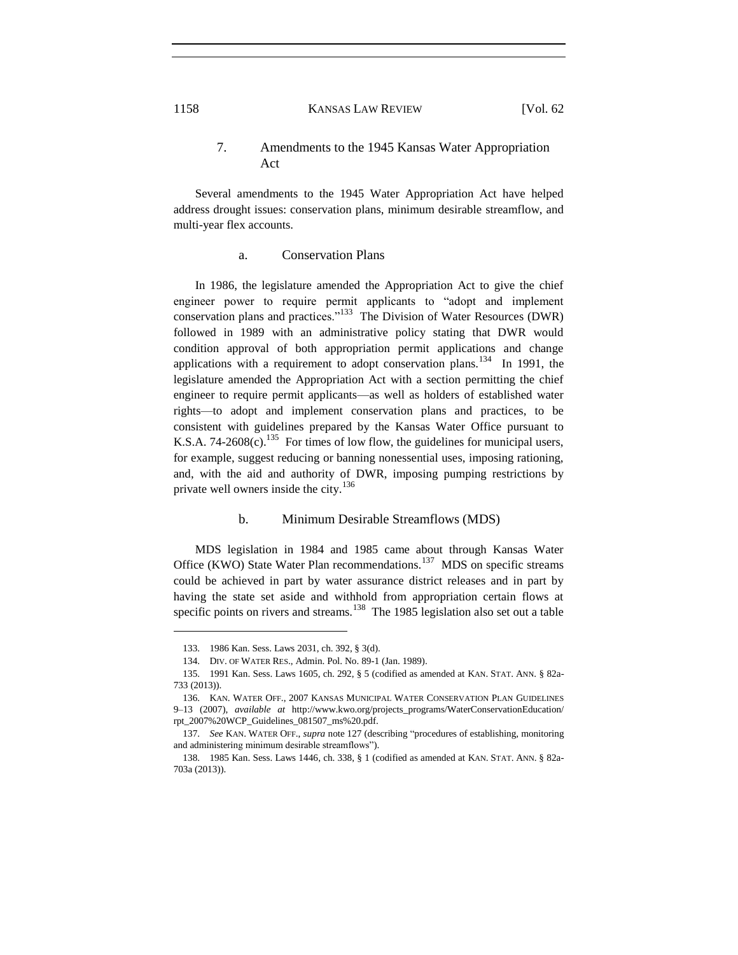# 7. Amendments to the 1945 Kansas Water Appropriation Act

Several amendments to the 1945 Water Appropriation Act have helped address drought issues: conservation plans, minimum desirable streamflow, and multi-year flex accounts.

# a. Conservation Plans

In 1986, the legislature amended the Appropriation Act to give the chief engineer power to require permit applicants to "adopt and implement conservation plans and practices."<sup>133</sup> The Division of Water Resources (DWR) followed in 1989 with an administrative policy stating that DWR would condition approval of both appropriation permit applications and change applications with a requirement to adopt conservation plans.<sup>134</sup> In 1991, the legislature amended the Appropriation Act with a section permitting the chief engineer to require permit applicants—as well as holders of established water rights—to adopt and implement conservation plans and practices, to be consistent with guidelines prepared by the Kansas Water Office pursuant to K.S.A. 74-2608(c).<sup>135</sup> For times of low flow, the guidelines for municipal users, for example, suggest reducing or banning nonessential uses, imposing rationing, and, with the aid and authority of DWR, imposing pumping restrictions by private well owners inside the city.<sup>136</sup>

#### b. Minimum Desirable Streamflows (MDS)

MDS legislation in 1984 and 1985 came about through Kansas Water Office (KWO) State Water Plan recommendations.<sup>137</sup> MDS on specific streams could be achieved in part by water assurance district releases and in part by having the state set aside and withhold from appropriation certain flows at specific points on rivers and streams.<sup>138</sup> The 1985 legislation also set out a table

<sup>133.</sup> 1986 Kan. Sess. Laws 2031, ch. 392, § 3(d).

<sup>134.</sup> DIV. OF WATER RES., Admin. Pol. No. 89-1 (Jan. 1989).

<sup>135.</sup> 1991 Kan. Sess. Laws 1605, ch. 292, § 5 (codified as amended at KAN. STAT. ANN. § 82a-733 (2013)).

<sup>136.</sup> KAN. WATER OFF., 2007 KANSAS MUNICIPAL WATER CONSERVATION PLAN GUIDELINES 9–13 (2007), *available at* http://www.kwo.org/projects\_programs/WaterConservationEducation/ rpt\_2007%20WCP\_Guidelines\_081507\_ms%20.pdf.

<sup>137.</sup> *See* KAN. WATER OFF., *supra* note 127 (describing "procedures of establishing, monitoring and administering minimum desirable streamflows").

<sup>138.</sup> 1985 Kan. Sess. Laws 1446, ch. 338, § 1 (codified as amended at KAN. STAT. ANN. § 82a-703a (2013)).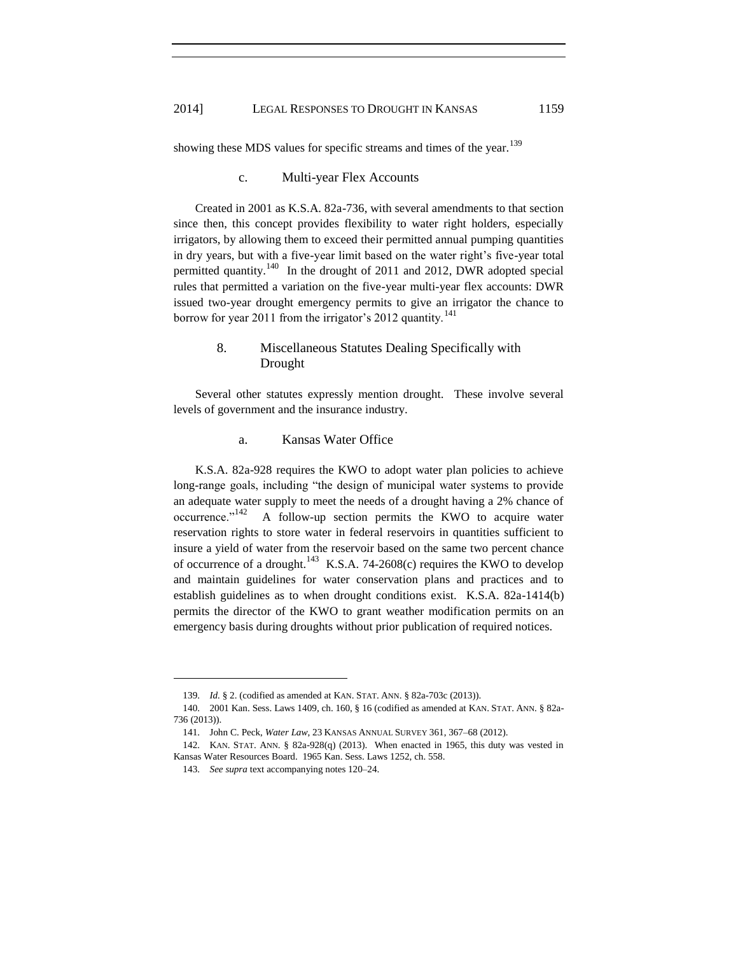showing these MDS values for specific streams and times of the year.<sup>139</sup>

#### c. Multi-year Flex Accounts

Created in 2001 as K.S.A. 82a-736, with several amendments to that section since then, this concept provides flexibility to water right holders, especially irrigators, by allowing them to exceed their permitted annual pumping quantities in dry years, but with a five-year limit based on the water right's five-year total permitted quantity.<sup>140</sup> In the drought of 2011 and 2012, DWR adopted special rules that permitted a variation on the five-year multi-year flex accounts: DWR issued two-year drought emergency permits to give an irrigator the chance to borrow for year 2011 from the irrigator's 2012 quantity.<sup>141</sup>

# 8. Miscellaneous Statutes Dealing Specifically with Drought

Several other statutes expressly mention drought. These involve several levels of government and the insurance industry.

# a. Kansas Water Office

K.S.A. 82a-928 requires the KWO to adopt water plan policies to achieve long-range goals, including "the design of municipal water systems to provide an adequate water supply to meet the needs of a drought having a 2% chance of occurrence."<sup>142</sup> A follow-up section permits the KWO to acquire water reservation rights to store water in federal reservoirs in quantities sufficient to insure a yield of water from the reservoir based on the same two percent chance of occurrence of a drought.<sup>143</sup> K.S.A. 74-2608(c) requires the KWO to develop and maintain guidelines for water conservation plans and practices and to establish guidelines as to when drought conditions exist. K.S.A. 82a-1414(b) permits the director of the KWO to grant weather modification permits on an emergency basis during droughts without prior publication of required notices.

<sup>139.</sup> *Id.* § 2. (codified as amended at KAN. STAT. ANN. § 82a-703c (2013)).

<sup>140.</sup> 2001 Kan. Sess. Laws 1409, ch. 160, § 16 (codified as amended at KAN. STAT. ANN. § 82a-736 (2013)).

<sup>141.</sup> John C. Peck, *Water Law*, 23 KANSAS ANNUAL SURVEY 361, 367–68 (2012).

<sup>142.</sup> KAN. STAT. ANN. § 82a-928(q) (2013). When enacted in 1965, this duty was vested in Kansas Water Resources Board. 1965 Kan. Sess. Laws 1252, ch. 558.

<sup>143.</sup> *See supra* text accompanying notes 120–24.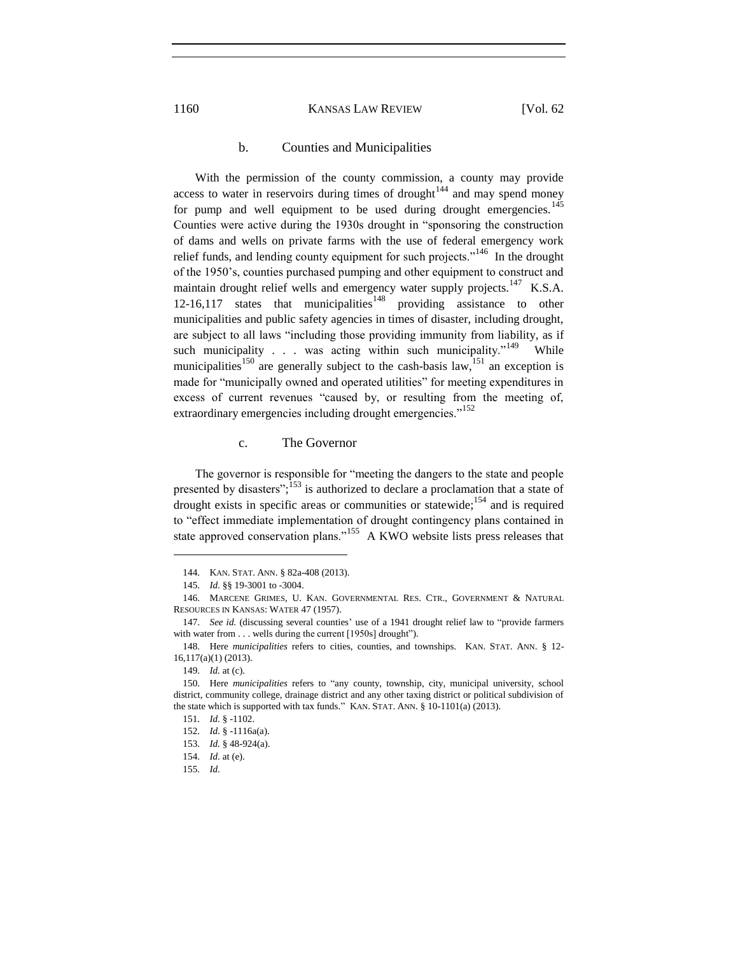# b. Counties and Municipalities

With the permission of the county commission, a county may provide access to water in reservoirs during times of drought<sup>144</sup> and may spend money for pump and well equipment to be used during drought emergencies.<sup>145</sup> Counties were active during the 1930s drought in "sponsoring the construction of dams and wells on private farms with the use of federal emergency work relief funds, and lending county equipment for such projects."<sup>146</sup> In the drought of the 1950's, counties purchased pumping and other equipment to construct and maintain drought relief wells and emergency water supply projects.<sup>147</sup> K.S.A.  $12-16,117$  states that municipalities<sup>148</sup> providing assistance to other municipalities and public safety agencies in times of disaster, including drought, are subject to all laws "including those providing immunity from liability, as if such municipality  $\ldots$  was acting within such municipality."<sup>149</sup> While municipalities<sup>150</sup> are generally subject to the cash-basis law,<sup>151</sup> an exception is made for "municipally owned and operated utilities" for meeting expenditures in excess of current revenues "caused by, or resulting from the meeting of, extraordinary emergencies including drought emergencies."<sup>152</sup>

# c. The Governor

The governor is responsible for "meeting the dangers to the state and people presented by disasters"; $\frac{153}{153}$  is authorized to declare a proclamation that a state of drought exists in specific areas or communities or statewide;<sup>154</sup> and is required to "effect immediate implementation of drought contingency plans contained in state approved conservation plans."<sup>155</sup> A KWO website lists press releases that

<sup>144.</sup> KAN. STAT. ANN. § 82a-408 (2013).

<sup>145.</sup> *Id.* §§ 19-3001 to -3004.

<sup>146.</sup> MARCENE GRIMES, U. KAN. GOVERNMENTAL RES. CTR., GOVERNMENT & NATURAL RESOURCES IN KANSAS: WATER 47 (1957).

<sup>147.</sup> *See id.* (discussing several counties' use of a 1941 drought relief law to "provide farmers with water from . . . wells during the current [1950s] drought").

<sup>148.</sup> Here *municipalities* refers to cities, counties, and townships. KAN. STAT. ANN. § 12- 16,117(a)(1) (2013).

<sup>149.</sup> *Id.* at (c).

<sup>150.</sup> Here *municipalities* refers to "any county, township, city, municipal university, school district, community college, drainage district and any other taxing district or political subdivision of the state which is supported with tax funds." KAN. STAT. ANN. § 10-1101(a) (2013).

<sup>151.</sup> *Id.* § -1102.

<sup>152.</sup> *Id.* § -1116a(a).

<sup>153.</sup> *Id.* § 48-924(a).

<sup>154.</sup> *Id.* at (e).

<sup>155.</sup> *Id.*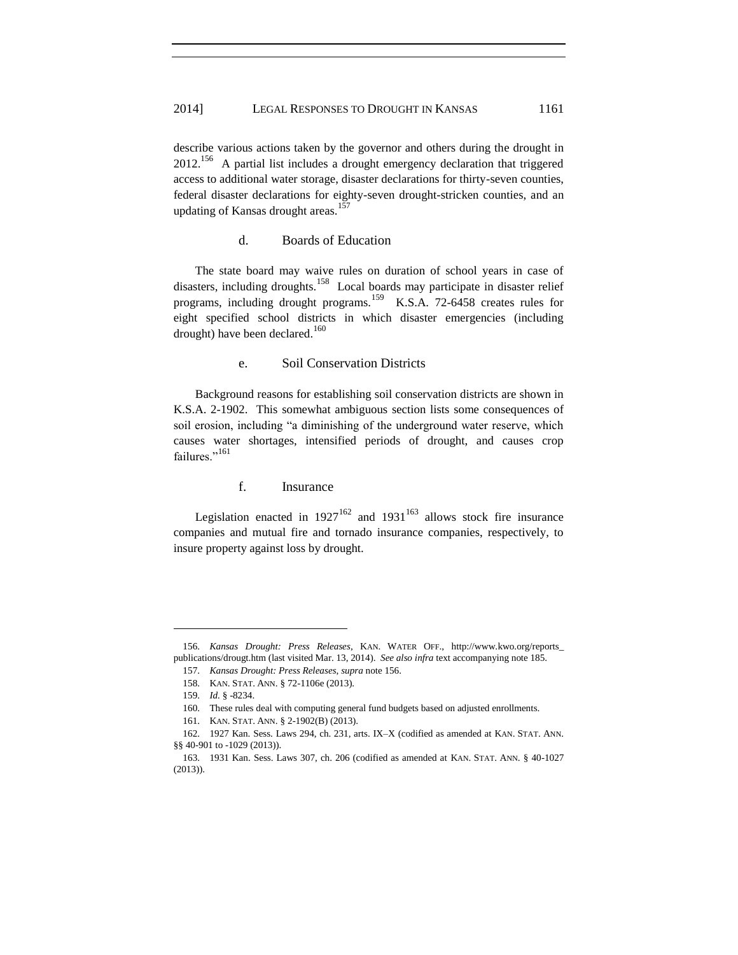describe various actions taken by the governor and others during the drought in  $2012$ <sup>156</sup> A partial list includes a drought emergency declaration that triggered access to additional water storage, disaster declarations for thirty-seven counties, federal disaster declarations for eighty-seven drought-stricken counties, and an updating of Kansas drought areas.<sup>157</sup>

# d. Boards of Education

The state board may waive rules on duration of school years in case of disasters, including droughts.<sup>158</sup> Local boards may participate in disaster relief programs, including drought programs.<sup>159</sup> K.S.A. 72-6458 creates rules for eight specified school districts in which disaster emergencies (including drought) have been declared.<sup>160</sup>

# e. Soil Conservation Districts

Background reasons for establishing soil conservation districts are shown in K.S.A. 2-1902. This somewhat ambiguous section lists some consequences of soil erosion, including "a diminishing of the underground water reserve, which causes water shortages, intensified periods of drought, and causes crop failures."<sup>161</sup>

# f. Insurance

Legislation enacted in  $1927^{162}$  and  $1931^{163}$  allows stock fire insurance companies and mutual fire and tornado insurance companies, respectively, to insure property against loss by drought.

<sup>156.</sup> *Kansas Drought: Press Releases*, KAN. WATER OFF., http://www.kwo.org/reports\_ publications/drougt.htm (last visited Mar. 13, 2014). *See also infra* text accompanying note 185.

<sup>157.</sup> *Kansas Drought: Press Releases*, *supra* note 156.

<sup>158.</sup> KAN. STAT. ANN. § 72-1106e (2013).

<sup>159.</sup> *Id.* § -8234.

<sup>160.</sup> These rules deal with computing general fund budgets based on adjusted enrollments.

<sup>161.</sup> KAN. STAT. ANN. § 2-1902(B) (2013).

<sup>162.</sup> 1927 Kan. Sess. Laws 294, ch. 231, arts. IX–X (codified as amended at KAN. STAT. ANN. §§ 40-901 to -1029 (2013)).

<sup>163.</sup> 1931 Kan. Sess. Laws 307, ch. 206 (codified as amended at KAN. STAT. ANN. § 40-1027 (2013)).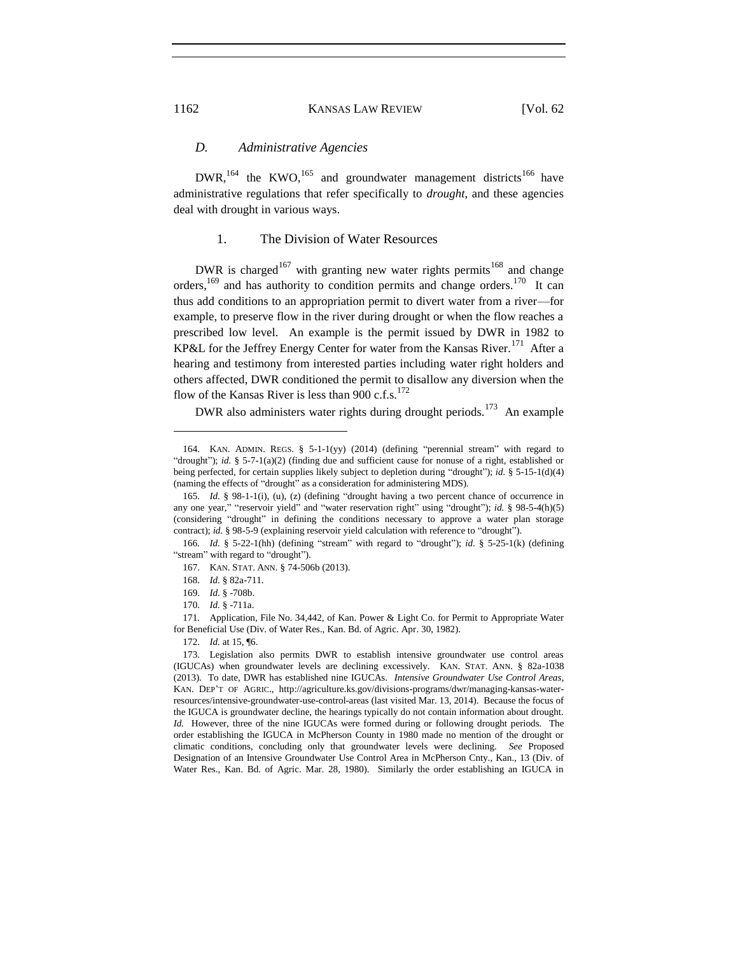# *D. Administrative Agencies*

 $DWR$ ,  $^{164}$  the KWO,  $^{165}$  and groundwater management districts  $^{166}$  have administrative regulations that refer specifically to *drought*, and these agencies deal with drought in various ways.

# 1. The Division of Water Resources

DWR is charged<sup>167</sup> with granting new water rights permits<sup>168</sup> and change orders,  $169$  and has authority to condition permits and change orders.  $170$  It can thus add conditions to an appropriation permit to divert water from a river—for example, to preserve flow in the river during drought or when the flow reaches a prescribed low level. An example is the permit issued by DWR in 1982 to KP&L for the Jeffrey Energy Center for water from the Kansas River.<sup>171</sup> After a hearing and testimony from interested parties including water right holders and others affected, DWR conditioned the permit to disallow any diversion when the flow of the Kansas River is less than 900 c.f.s.<sup>172</sup>

DWR also administers water rights during drought periods.<sup>173</sup> An example

<sup>164.</sup> KAN. ADMIN. REGS. § 5-1-1(yy) (2014) (defining "perennial stream" with regard to "drought"); *id.* § 5-7-1(a)(2) (finding due and sufficient cause for nonuse of a right, established or being perfected, for certain supplies likely subject to depletion during "drought"); *id.* § 5-15-1(d)(4) (naming the effects of "drought" as a consideration for administering MDS).

<sup>165.</sup> *Id.* § 98-1-1(i), (u), (z) (defining "drought having a two percent chance of occurrence in any one year," "reservoir yield" and "water reservation right" using "drought"); *id.* § 98-5-4(h)(5) (considering "drought" in defining the conditions necessary to approve a water plan storage contract); *id.* § 98-5-9 (explaining reservoir yield calculation with reference to "drought").

<sup>166.</sup> *Id.* § 5-22-1(hh) (defining "stream" with regard to "drought"); *id.* § 5-25-1(k) (defining "stream" with regard to "drought").

<sup>167.</sup> KAN. STAT. ANN. § 74-506b (2013).

<sup>168.</sup> *Id.* § 82a-711.

<sup>169.</sup> *Id.* § -708b.

<sup>170.</sup> *Id.* § -711a.

<sup>171.</sup> Application, File No. 34,442, of Kan. Power & Light Co. for Permit to Appropriate Water for Beneficial Use (Div. of Water Res., Kan. Bd. of Agric. Apr. 30, 1982).

<sup>172.</sup> *Id.* at 15, ¶6.

<sup>173.</sup> Legislation also permits DWR to establish intensive groundwater use control areas (IGUCAs) when groundwater levels are declining excessively.KAN. STAT. ANN. § 82a-1038 (2013).To date, DWR has established nine IGUCAs. *Intensive Groundwater Use Control Areas*, KAN. DEP'T OF AGRIC., http://agriculture.ks.gov/divisions-programs/dwr/managing-kansas-waterresources/intensive-groundwater-use-control-areas (last visited Mar. 13, 2014). Because the focus of the IGUCA is groundwater decline, the hearings typically do not contain information about drought. *Id.* However, three of the nine IGUCAs were formed during or following drought periods. The order establishing the IGUCA in McPherson County in 1980 made no mention of the drought or climatic conditions, concluding only that groundwater levels were declining. *See* Proposed Designation of an Intensive Groundwater Use Control Area in McPherson Cnty., Kan., 13 (Div. of Water Res., Kan. Bd. of Agric. Mar. 28, 1980). Similarly the order establishing an IGUCA in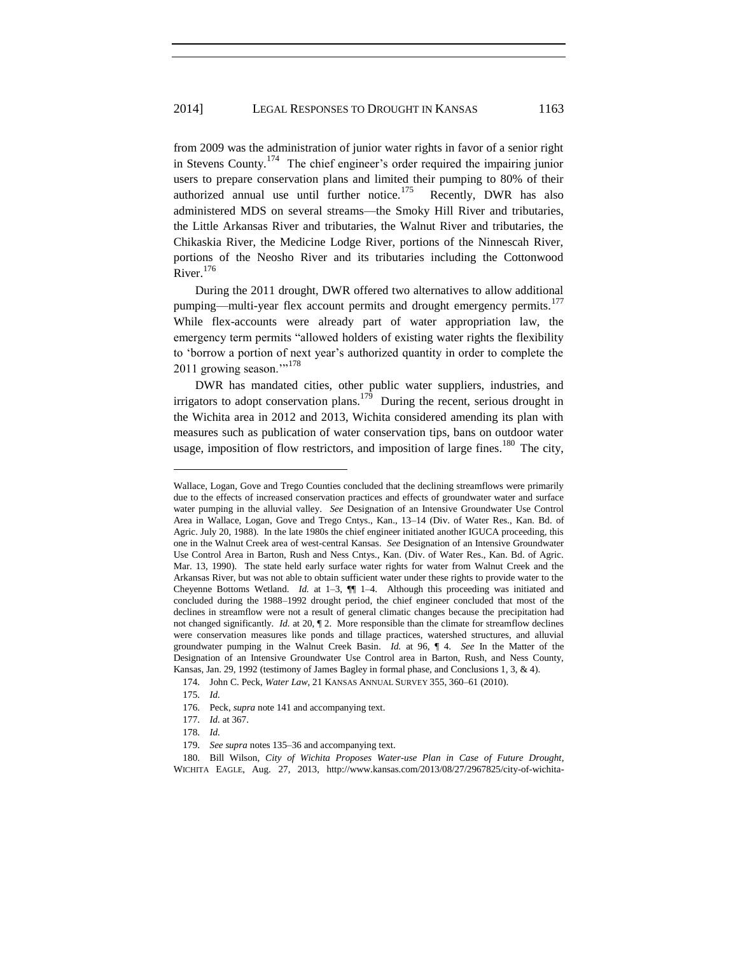from 2009 was the administration of junior water rights in favor of a senior right in Stevens County.<sup>174</sup> The chief engineer's order required the impairing junior users to prepare conservation plans and limited their pumping to 80% of their authorized annual use until further notice.<sup>175</sup> Recently, DWR has also administered MDS on several streams—the Smoky Hill River and tributaries, the Little Arkansas River and tributaries, the Walnut River and tributaries, the Chikaskia River, the Medicine Lodge River, portions of the Ninnescah River, portions of the Neosho River and its tributaries including the Cottonwood River.<sup>176</sup>

During the 2011 drought, DWR offered two alternatives to allow additional pumping—multi-year flex account permits and drought emergency permits.<sup>177</sup> While flex-accounts were already part of water appropriation law, the emergency term permits "allowed holders of existing water rights the flexibility to 'borrow a portion of next year's authorized quantity in order to complete the 2011 growing season."<sup>178</sup>

DWR has mandated cities, other public water suppliers, industries, and irrigators to adopt conservation plans.<sup>179</sup> During the recent, serious drought in the Wichita area in 2012 and 2013, Wichita considered amending its plan with measures such as publication of water conservation tips, bans on outdoor water usage, imposition of flow restrictors, and imposition of large fines.<sup>180</sup> The city,

175. *Id.*

- 177. *Id.* at 367.
- 178. *Id.*

Wallace, Logan, Gove and Trego Counties concluded that the declining streamflows were primarily due to the effects of increased conservation practices and effects of groundwater water and surface water pumping in the alluvial valley. *See* Designation of an Intensive Groundwater Use Control Area in Wallace, Logan, Gove and Trego Cntys., Kan., 13–14 (Div. of Water Res., Kan. Bd. of Agric. July 20, 1988). In the late 1980s the chief engineer initiated another IGUCA proceeding, this one in the Walnut Creek area of west-central Kansas. *See* Designation of an Intensive Groundwater Use Control Area in Barton, Rush and Ness Cntys., Kan. (Div. of Water Res., Kan. Bd. of Agric. Mar. 13, 1990). The state held early surface water rights for water from Walnut Creek and the Arkansas River, but was not able to obtain sufficient water under these rights to provide water to the Cheyenne Bottoms Wetland. *Id.* at 1–3, ¶¶ 1–4. Although this proceeding was initiated and concluded during the 1988–1992 drought period, the chief engineer concluded that most of the declines in streamflow were not a result of general climatic changes because the precipitation had not changed significantly. *Id.* at 20, ¶ 2. More responsible than the climate for streamflow declines were conservation measures like ponds and tillage practices, watershed structures, and alluvial groundwater pumping in the Walnut Creek Basin. *Id.* at 96, ¶ 4. *See* In the Matter of the Designation of an Intensive Groundwater Use Control area in Barton, Rush, and Ness County, Kansas, Jan. 29, 1992 (testimony of James Bagley in formal phase, and Conclusions 1, 3, & 4).

<sup>174.</sup> John C. Peck, *Water Law*, 21 KANSAS ANNUAL SURVEY 355, 360–61 (2010).

<sup>176.</sup> Peck, *supra* note 141 and accompanying text.

<sup>179.</sup> *See supra* notes 135–36 and accompanying text.

<sup>180.</sup> Bill Wilson, *City of Wichita Proposes Water-use Plan in Case of Future Drought*, WICHITA EAGLE, Aug. 27, 2013, http://www.kansas.com/2013/08/27/2967825/city-of-wichita-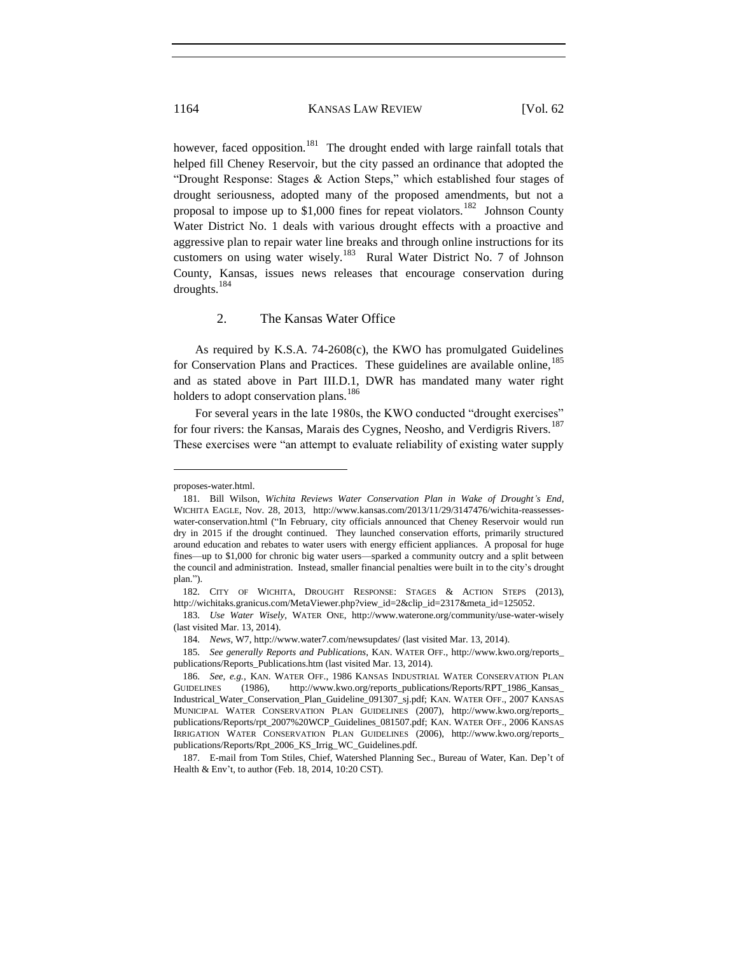however, faced opposition.<sup>181</sup> The drought ended with large rainfall totals that helped fill Cheney Reservoir, but the city passed an ordinance that adopted the "Drought Response: Stages & Action Steps," which established four stages of drought seriousness, adopted many of the proposed amendments, but not a proposal to impose up to \$1,000 fines for repeat violators.<sup>182</sup> Johnson County Water District No. 1 deals with various drought effects with a proactive and aggressive plan to repair water line breaks and through online instructions for its customers on using water wisely.<sup>183</sup> Rural Water District No. 7 of Johnson County, Kansas, issues news releases that encourage conservation during droughts.<sup>184</sup>

# 2. The Kansas Water Office

As required by K.S.A. 74-2608(c), the KWO has promulgated Guidelines for Conservation Plans and Practices. These guidelines are available online.<sup>185</sup> and as stated above in Part III.D.1, DWR has mandated many water right holders to adopt conservation plans.<sup>186</sup>

For several years in the late 1980s, the KWO conducted "drought exercises" for four rivers: the Kansas, Marais des Cygnes, Neosho, and Verdigris Rivers.<sup>187</sup> These exercises were "an attempt to evaluate reliability of existing water supply

proposes-water.html.

<sup>181.</sup> Bill Wilson, *Wichita Reviews Water Conservation Plan in Wake of Drought's End*, WICHITA EAGLE, Nov. 28, 2013, http://www.kansas.com/2013/11/29/3147476/wichita-reassesseswater-conservation.html ("In February, city officials announced that Cheney Reservoir would run dry in 2015 if the drought continued. They launched conservation efforts, primarily structured around education and rebates to water users with energy efficient appliances. A proposal for huge fines—up to \$1,000 for chronic big water users—sparked a community outcry and a split between the council and administration. Instead, smaller financial penalties were built in to the city's drought plan.").

<sup>182.</sup> CITY OF WICHITA, DROUGHT RESPONSE: STAGES & ACTION STEPS (2013), http://wichitaks.granicus.com/MetaViewer.php?view\_id=2&clip\_id=2317&meta\_id=125052.

<sup>183.</sup> *Use Water Wisely*, WATER ONE, http://www.waterone.org/community/use-water-wisely (last visited Mar. 13, 2014).

<sup>184.</sup> *News*, W7, http://www.water7.com/newsupdates/ (last visited Mar. 13, 2014).

<sup>185.</sup> *See generally Reports and Publications*, KAN. WATER OFF., http://www.kwo.org/reports\_ publications/Reports\_Publications.htm (last visited Mar. 13, 2014).

<sup>186.</sup> *See, e.g.*, KAN. WATER OFF., 1986 KANSAS INDUSTRIAL WATER CONSERVATION PLAN GUIDELINES (1986), http://www.kwo.org/reports\_publications/Reports/RPT\_1986\_Kansas\_ Industrical\_Water\_Conservation\_Plan\_Guideline\_091307\_sj.pdf; KAN. WATER OFF., 2007 KANSAS MUNICIPAL WATER CONSERVATION PLAN GUIDELINES (2007), http://www.kwo.org/reports\_ publications/Reports/rpt\_2007%20WCP\_Guidelines\_081507.pdf; KAN. WATER OFF., 2006 KANSAS IRRIGATION WATER CONSERVATION PLAN GUIDELINES (2006), http://www.kwo.org/reports\_ publications/Reports/Rpt\_2006\_KS\_Irrig\_WC\_Guidelines.pdf.

<sup>187.</sup> E-mail from Tom Stiles, Chief, Watershed Planning Sec., Bureau of Water, Kan. Dep't of Health & Env't, to author (Feb. 18, 2014, 10:20 CST).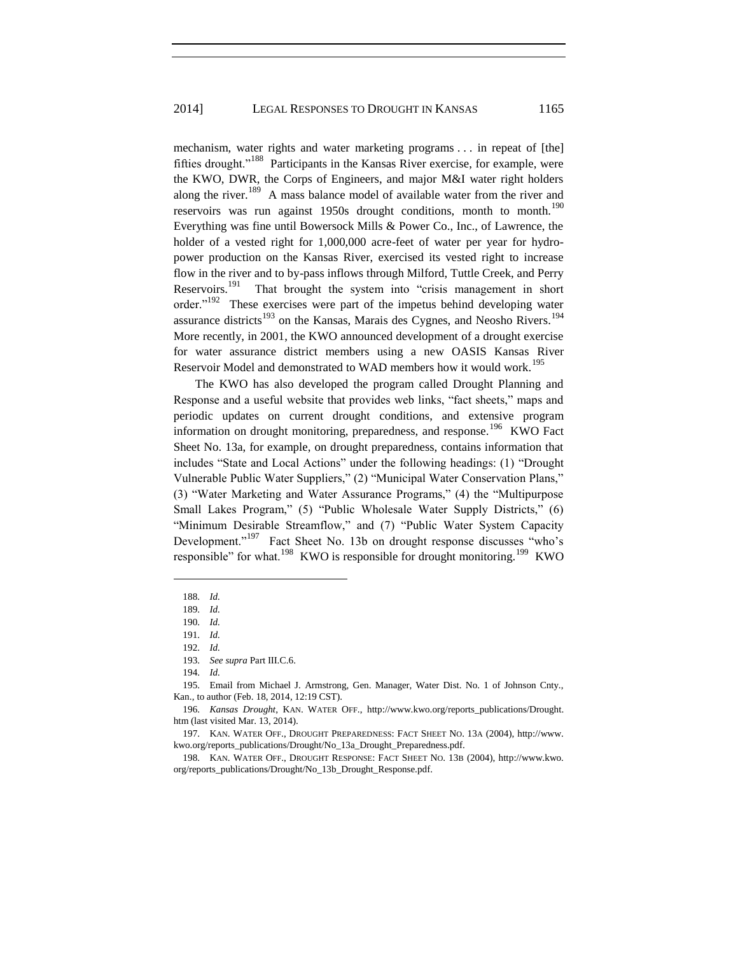mechanism, water rights and water marketing programs . . . in repeat of [the] fifties drought."<sup>188</sup> Participants in the Kansas River exercise, for example, were the KWO, DWR, the Corps of Engineers, and major M&I water right holders along the river.<sup>189</sup> A mass balance model of available water from the river and reservoirs was run against 1950s drought conditions, month to month.<sup>190</sup> Everything was fine until Bowersock Mills & Power Co., Inc., of Lawrence, the holder of a vested right for 1,000,000 acre-feet of water per year for hydropower production on the Kansas River, exercised its vested right to increase flow in the river and to by-pass inflows through Milford, Tuttle Creek, and Perry Reservoirs.<sup>191</sup> That brought the system into "crisis management in short order."<sup>192</sup> These exercises were part of the impetus behind developing water assurance districts<sup>193</sup> on the Kansas, Marais des Cygnes, and Neosho Rivers.<sup>194</sup> More recently, in 2001, the KWO announced development of a drought exercise for water assurance district members using a new OASIS Kansas River Reservoir Model and demonstrated to WAD members how it would work.<sup>195</sup>

The KWO has also developed the program called Drought Planning and Response and a useful website that provides web links, "fact sheets," maps and periodic updates on current drought conditions, and extensive program information on drought monitoring, preparedness, and response.<sup>196</sup> KWO Fact Sheet No. 13a, for example, on drought preparedness, contains information that includes "State and Local Actions" under the following headings: (1) "Drought Vulnerable Public Water Suppliers," (2) "Municipal Water Conservation Plans," (3) "Water Marketing and Water Assurance Programs," (4) the "Multipurpose Small Lakes Program," (5) "Public Wholesale Water Supply Districts," (6) "Minimum Desirable Streamflow," and (7) "Public Water System Capacity Development."<sup>197</sup> Fact Sheet No. 13b on drought response discusses "who's responsible" for what.<sup>198</sup> KWO is responsible for drought monitoring.<sup>199</sup> KWO

 $\overline{\phantom{a}}$ 

<sup>188.</sup> *Id.*

<sup>189.</sup> *Id.*

<sup>190.</sup> *Id.*

<sup>191.</sup> *Id.*

<sup>192.</sup> *Id.*

<sup>193.</sup> *See supra* Part III.C.6.

<sup>194.</sup> *Id.*

<sup>195.</sup> Email from Michael J. Armstrong, Gen. Manager, Water Dist. No. 1 of Johnson Cnty., Kan., to author (Feb. 18, 2014, 12:19 CST).

<sup>196.</sup> *Kansas Drought*, KAN. WATER OFF., http://www.kwo.org/reports\_publications/Drought. htm (last visited Mar. 13, 2014).

<sup>197.</sup> KAN. WATER OFF., DROUGHT PREPAREDNESS: FACT SHEET NO. 13A (2004), http://www. kwo.org/reports\_publications/Drought/No\_13a\_Drought\_Preparedness.pdf.

<sup>198.</sup> KAN. WATER OFF., DROUGHT RESPONSE: FACT SHEET NO. 13B (2004), http://www.kwo. org/reports\_publications/Drought/No\_13b\_Drought\_Response.pdf.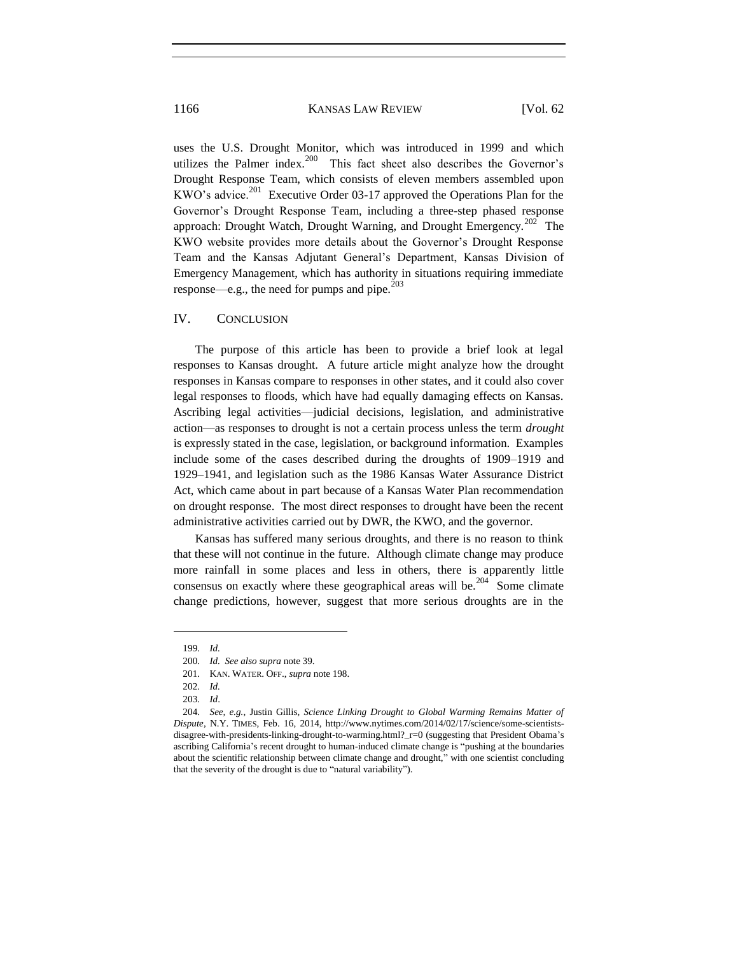uses the U.S. Drought Monitor, which was introduced in 1999 and which utilizes the Palmer index.<sup>200</sup> This fact sheet also describes the Governor's Drought Response Team, which consists of eleven members assembled upon KWO's advice.<sup>201</sup> Executive Order 03-17 approved the Operations Plan for the Governor's Drought Response Team, including a three-step phased response approach: Drought Watch, Drought Warning, and Drought Emergency.<sup>202</sup> The KWO website provides more details about the Governor's Drought Response Team and the Kansas Adjutant General's Department, Kansas Division of Emergency Management, which has authority in situations requiring immediate response—e.g., the need for pumps and pipe.<sup>203</sup>

# IV. CONCLUSION

The purpose of this article has been to provide a brief look at legal responses to Kansas drought. A future article might analyze how the drought responses in Kansas compare to responses in other states, and it could also cover legal responses to floods, which have had equally damaging effects on Kansas. Ascribing legal activities—judicial decisions, legislation, and administrative action—as responses to drought is not a certain process unless the term *drought* is expressly stated in the case, legislation, or background information. Examples include some of the cases described during the droughts of 1909–1919 and 1929–1941, and legislation such as the 1986 Kansas Water Assurance District Act, which came about in part because of a Kansas Water Plan recommendation on drought response. The most direct responses to drought have been the recent administrative activities carried out by DWR, the KWO, and the governor.

Kansas has suffered many serious droughts, and there is no reason to think that these will not continue in the future. Although climate change may produce more rainfall in some places and less in others, there is apparently little consensus on exactly where these geographical areas will be. $204$  Some climate change predictions, however, suggest that more serious droughts are in the

<sup>199.</sup> *Id.*

<sup>200.</sup> *Id. See also supra* note 39.

<sup>201.</sup> KAN. WATER. OFF., *supra* note 198.

<sup>202.</sup> *Id.*

<sup>203.</sup> *Id*.

<sup>204.</sup> *See, e.g.*, Justin Gillis, *Science Linking Drought to Global Warming Remains Matter of Dispute*, N.Y. TIMES, Feb. 16, 2014, http://www.nytimes.com/2014/02/17/science/some-scientistsdisagree-with-presidents-linking-drought-to-warming.html?\_r=0 (suggesting that President Obama's ascribing California's recent drought to human-induced climate change is "pushing at the boundaries about the scientific relationship between climate change and drought," with one scientist concluding that the severity of the drought is due to "natural variability").